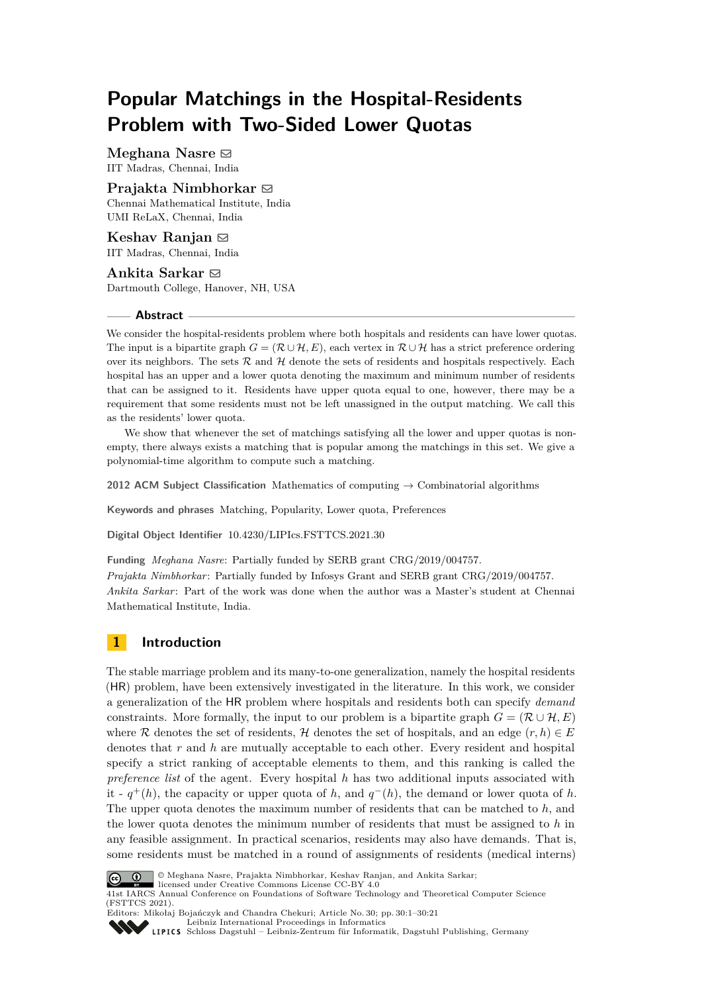# **Popular Matchings in the Hospital-Residents Problem with Two-Sided Lower Quotas**

**Meghana Nasre** ⊠ IIT Madras, Chennai, India

#### **Prajakta Nimbhorkar** ⊠

Chennai Mathematical Institute, India UMI ReLaX, Chennai, India

**Keshav Ranjan** ⊠ IIT Madras, Chennai, India

**Ankita Sarkar** ⊠ Dartmouth College, Hanover, NH, USA

#### **Abstract**

We consider the hospital-residents problem where both hospitals and residents can have lower quotas. The input is a bipartite graph  $G = (\mathcal{R} \cup \mathcal{H}, E)$ , each vertex in  $\mathcal{R} \cup \mathcal{H}$  has a strict preference ordering over its neighbors. The sets  $R$  and  $H$  denote the sets of residents and hospitals respectively. Each hospital has an upper and a lower quota denoting the maximum and minimum number of residents that can be assigned to it. Residents have upper quota equal to one, however, there may be a requirement that some residents must not be left unassigned in the output matching. We call this as the residents' lower quota.

We show that whenever the set of matchings satisfying all the lower and upper quotas is nonempty, there always exists a matching that is popular among the matchings in this set. We give a polynomial-time algorithm to compute such a matching.

**2012 ACM Subject Classification** Mathematics of computing → Combinatorial algorithms

**Keywords and phrases** Matching, Popularity, Lower quota, Preferences

**Digital Object Identifier** [10.4230/LIPIcs.FSTTCS.2021.30](https://doi.org/10.4230/LIPIcs.FSTTCS.2021.30)

**Funding** *Meghana Nasre*: Partially funded by SERB grant CRG/2019/004757. *Prajakta Nimbhorkar*: Partially funded by Infosys Grant and SERB grant CRG/2019/004757. *Ankita Sarkar*: Part of the work was done when the author was a Master's student at Chennai Mathematical Institute, India.

## **1 Introduction**

The stable marriage problem and its many-to-one generalization, namely the hospital residents (HR) problem, have been extensively investigated in the literature. In this work, we consider a generalization of the HR problem where hospitals and residents both can specify *demand* constraints. More formally, the input to our problem is a bipartite graph  $G = (\mathcal{R} \cup \mathcal{H}, E)$ where R denotes the set of residents, H denotes the set of hospitals, and an edge  $(r, h) \in E$ denotes that *r* and *h* are mutually acceptable to each other. Every resident and hospital specify a strict ranking of acceptable elements to them, and this ranking is called the *preference list* of the agent. Every hospital *h* has two additional inputs associated with it -  $q^+(h)$ , the capacity or upper quota of *h*, and  $q^-(h)$ , the demand or lower quota of *h*. The upper quota denotes the maximum number of residents that can be matched to *h*, and the lower quota denotes the minimum number of residents that must be assigned to *h* in any feasible assignment. In practical scenarios, residents may also have demands. That is, some residents must be matched in a round of assignments of residents (medical interns)



© Meghana Nasre, Prajakta Nimbhorkar, Keshav Ranjan, and Ankita Sarkar;

licensed under Creative Commons License CC-BY 4.0 41st IARCS Annual Conference on Foundations of Software Technology and Theoretical Computer Science (FSTTCS 2021).

Editors: Mikołaj Bojańczyk and Chandra Chekuri; Article No. 30; pp. 30:1–30:21 [Leibniz International Proceedings in Informatics](https://www.dagstuhl.de/lipics/)

[Schloss Dagstuhl – Leibniz-Zentrum für Informatik, Dagstuhl Publishing, Germany](https://www.dagstuhl.de)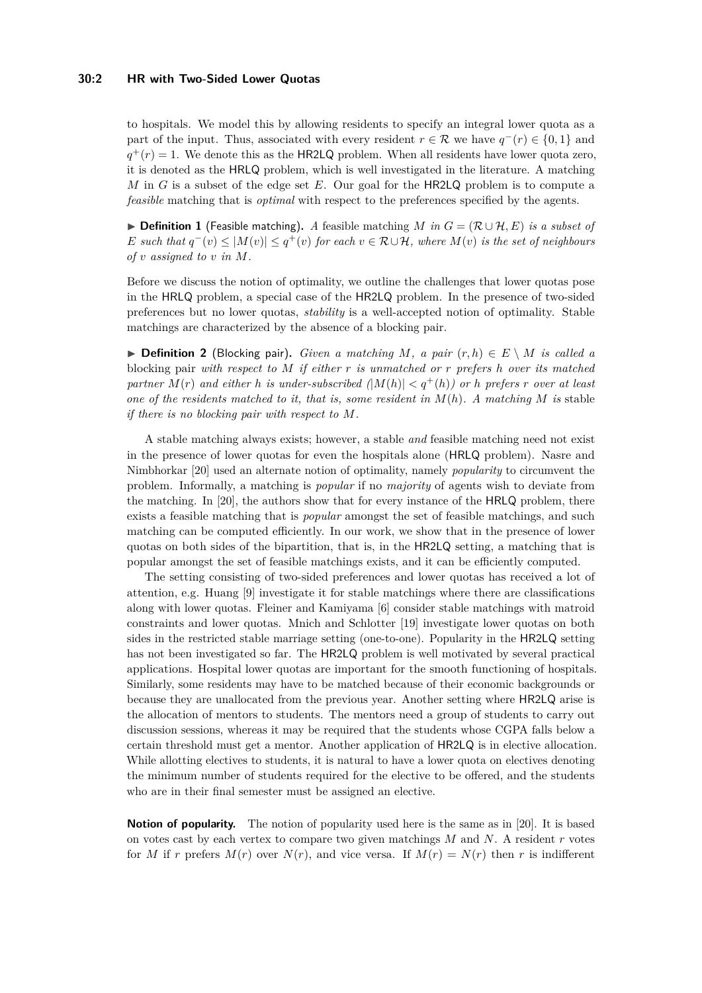#### **30:2 HR with Two-Sided Lower Quotas**

to hospitals. We model this by allowing residents to specify an integral lower quota as a part of the input. Thus, associated with every resident  $r \in \mathcal{R}$  we have  $q^-(r) \in \{0,1\}$  and  $q^+(r) = 1$ . We denote this as the **HR2LQ** problem. When all residents have lower quota zero, it is denoted as the HRLQ problem, which is well investigated in the literature. A matching *M* in *G* is a subset of the edge set *E*. Our goal for the HR2LQ problem is to compute a *feasible* matching that is *optimal* with respect to the preferences specified by the agents.

▶ **Definition 1** (Feasible matching). *A* feasible matching *M* in  $G = (\mathcal{R} \cup \mathcal{H}, E)$  is a subset of *E* such that  $q^-(v) \leq |M(v)| \leq q^+(v)$  for each  $v \in \mathcal{R} \cup \mathcal{H}$ , where  $M(v)$  is the set of neighbours *of v assigned to v in M.*

Before we discuss the notion of optimality, we outline the challenges that lower quotas pose in the HRLQ problem, a special case of the HR2LQ problem. In the presence of two-sided preferences but no lower quotas, *stability* is a well-accepted notion of optimality. Stable matchings are characterized by the absence of a blocking pair.

▶ **Definition 2** (Blocking pair). *Given a matching*  $M$ , a pair  $(r, h) \in E \setminus M$  *is called a* blocking pair *with respect to M if either r is unmatched or r prefers h over its matched partner*  $M(r)$  *and either h is under-subscribed*  $|M(h)| < q^+(h)$  *or h prefers r over at least one of the residents matched to it, that is, some resident in*  $M(h)$ . A matching M is stable *if there is no blocking pair with respect to M.*

A stable matching always exists; however, a stable *and* feasible matching need not exist in the presence of lower quotas for even the hospitals alone (HRLQ problem). Nasre and Nimbhorkar [\[20\]](#page-16-0) used an alternate notion of optimality, namely *popularity* to circumvent the problem. Informally, a matching is *popular* if no *majority* of agents wish to deviate from the matching. In [\[20\]](#page-16-0), the authors show that for every instance of the HRLQ problem, there exists a feasible matching that is *popular* amongst the set of feasible matchings, and such matching can be computed efficiently. In our work, we show that in the presence of lower quotas on both sides of the bipartition, that is, in the HR2LQ setting, a matching that is popular amongst the set of feasible matchings exists, and it can be efficiently computed.

The setting consisting of two-sided preferences and lower quotas has received a lot of attention, e.g. Huang [\[9\]](#page-16-1) investigate it for stable matchings where there are classifications along with lower quotas. Fleiner and Kamiyama [\[6\]](#page-16-2) consider stable matchings with matroid constraints and lower quotas. Mnich and Schlotter [\[19\]](#page-16-3) investigate lower quotas on both sides in the restricted stable marriage setting (one-to-one). Popularity in the HR2LQ setting has not been investigated so far. The HR2LQ problem is well motivated by several practical applications. Hospital lower quotas are important for the smooth functioning of hospitals. Similarly, some residents may have to be matched because of their economic backgrounds or because they are unallocated from the previous year. Another setting where HR2LQ arise is the allocation of mentors to students. The mentors need a group of students to carry out discussion sessions, whereas it may be required that the students whose CGPA falls below a certain threshold must get a mentor. Another application of HR2LQ is in elective allocation. While allotting electives to students, it is natural to have a lower quota on electives denoting the minimum number of students required for the elective to be offered, and the students who are in their final semester must be assigned an elective.

**Notion of popularity.** The notion of popularity used here is the same as in [\[20\]](#page-16-0). It is based on votes cast by each vertex to compare two given matchings *M* and *N*. A resident *r* votes for *M* if *r* prefers  $M(r)$  over  $N(r)$ , and vice versa. If  $M(r) = N(r)$  then *r* is indifferent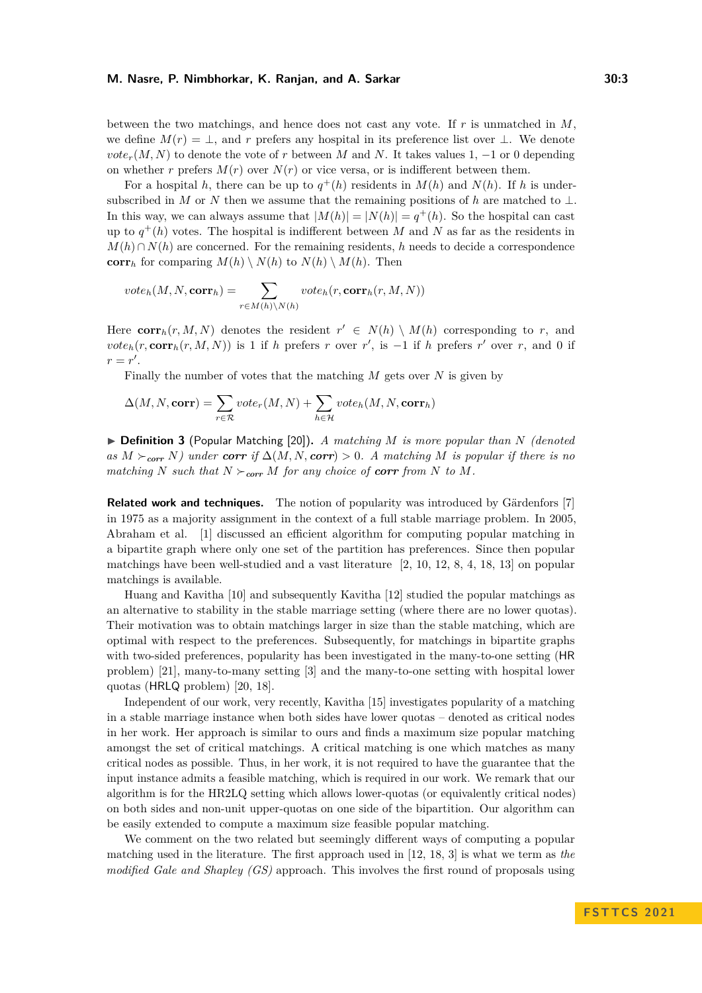between the two matchings, and hence does not cast any vote. If *r* is unmatched in *M*, we define  $M(r) = \perp$ , and r prefers any hospital in its preference list over  $\perp$ . We denote *vote*<sub>r</sub> $(M, N)$  to denote the vote of *r* between *M* and *N*. It takes values 1, −1 or 0 depending on whether *r* prefers  $M(r)$  over  $N(r)$  or vice versa, or is indifferent between them.

For a hospital *h*, there can be up to  $q^+(h)$  residents in  $M(h)$  and  $N(h)$ . If *h* is undersubscribed in *M* or *N* then we assume that the remaining positions of *h* are matched to ⊥. In this way, we can always assume that  $|M(h)| = |N(h)| = q^+(h)$ . So the hospital can cast up to  $q^+(h)$  votes. The hospital is indifferent between M and N as far as the residents in  $M(h) \cap N(h)$  are concerned. For the remaining residents, *h* needs to decide a correspondence **corr**<sub>*h*</sub> for comparing  $M(h) \setminus N(h)$  to  $N(h) \setminus M(h)$ . Then

$$
vote_h(M, N, corr_h) = \sum_{r \in M(h) \backslash N(h)} vote_h(r, corr_h(r, M, N))
$$

Here  $\text{corr}_h(r, M, N)$  denotes the resident  $r' \in N(h) \setminus M(h)$  corresponding to r, and  $\mathbf{v} \circ \mathbf{t} = h(r, \mathbf{corr}_h(r, M, N))$  is 1 if *h* prefers *r* over *r'*, is −1 if *h* prefers *r'* over *r*, and 0 if  $r = r'$ .

Finally the number of votes that the matching *M* gets over *N* is given by

$$
\Delta(M, N, \mathbf{corr}) = \sum_{r \in \mathcal{R}} vote_r(M, N) + \sum_{h \in \mathcal{H}} vote_h(M, N, \mathbf{corr}_h)
$$

▶ **Definition 3** (Popular Matching [\[20\]](#page-16-0))**.** *A matching M is more popular than N (denoted as*  $M$  ≻<sub>*corr*</sub>  $N$ *)* under *corr if* ∆(*M, N, corr*) > 0*.* A matching  $M$  *is popular if there is no matching*  $N$  *such that*  $N \succ_{\text{corr}} M$  *for any choice of corr from*  $N$  *to*  $M$ *.* 

**Related work and techniques.** The notion of popularity was introduced by Gärdenfors [\[7\]](#page-16-4) in 1975 as a majority assignment in the context of a full stable marriage problem. In 2005, Abraham et al. [\[1\]](#page-15-0) discussed an efficient algorithm for computing popular matching in a bipartite graph where only one set of the partition has preferences. Since then popular matchings have been well-studied and a vast literature [\[2,](#page-15-1) [10,](#page-16-5) [12,](#page-16-6) [8,](#page-16-7) [4,](#page-16-8) [18,](#page-16-9) [13\]](#page-16-10) on popular matchings is available.

Huang and Kavitha [\[10\]](#page-16-5) and subsequently Kavitha [\[12\]](#page-16-6) studied the popular matchings as an alternative to stability in the stable marriage setting (where there are no lower quotas). Their motivation was to obtain matchings larger in size than the stable matching, which are optimal with respect to the preferences. Subsequently, for matchings in bipartite graphs with two-sided preferences, popularity has been investigated in the many-to-one setting (HR problem) [\[21\]](#page-16-11), many-to-many setting [\[3\]](#page-16-12) and the many-to-one setting with hospital lower quotas (HRLQ problem) [\[20,](#page-16-0) [18\]](#page-16-9).

Independent of our work, very recently, Kavitha [\[15\]](#page-16-13) investigates popularity of a matching in a stable marriage instance when both sides have lower quotas – denoted as critical nodes in her work. Her approach is similar to ours and finds a maximum size popular matching amongst the set of critical matchings. A critical matching is one which matches as many critical nodes as possible. Thus, in her work, it is not required to have the guarantee that the input instance admits a feasible matching, which is required in our work. We remark that our algorithm is for the HR2LQ setting which allows lower-quotas (or equivalently critical nodes) on both sides and non-unit upper-quotas on one side of the bipartition. Our algorithm can be easily extended to compute a maximum size feasible popular matching.

We comment on the two related but seemingly different ways of computing a popular matching used in the literature. The first approach used in [\[12,](#page-16-6) [18,](#page-16-9) [3\]](#page-16-12) is what we term as *the modified Gale and Shapley (GS)* approach. This involves the first round of proposals using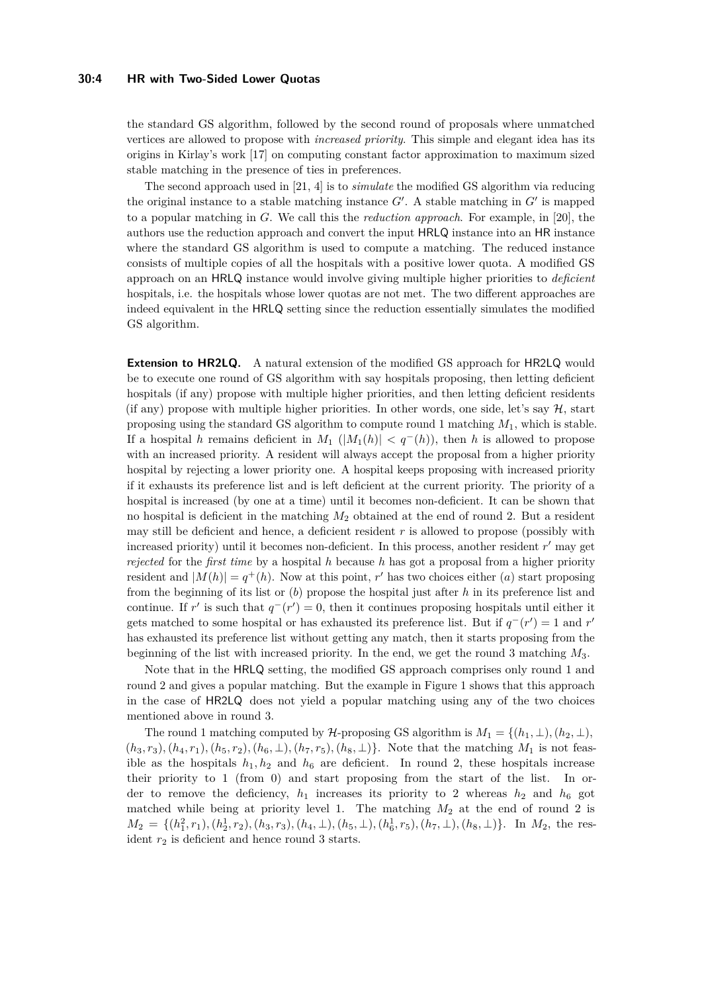#### **30:4 HR with Two-Sided Lower Quotas**

the standard GS algorithm, followed by the second round of proposals where unmatched vertices are allowed to propose with *increased priority*. This simple and elegant idea has its origins in Kirlay's work [\[17\]](#page-16-14) on computing constant factor approximation to maximum sized stable matching in the presence of ties in preferences.

The second approach used in [\[21,](#page-16-11) [4\]](#page-16-8) is to *simulate* the modified GS algorithm via reducing the original instance to a stable matching instance  $G'$ . A stable matching in  $G'$  is mapped to a popular matching in *G*. We call this the *reduction approach*. For example, in [\[20\]](#page-16-0), the authors use the reduction approach and convert the input HRLQ instance into an HR instance where the standard GS algorithm is used to compute a matching. The reduced instance consists of multiple copies of all the hospitals with a positive lower quota. A modified GS approach on an HRLQ instance would involve giving multiple higher priorities to *deficient* hospitals, i.e. the hospitals whose lower quotas are not met. The two different approaches are indeed equivalent in the HRLQ setting since the reduction essentially simulates the modified GS algorithm.

**Extension to HR2LQ.** A natural extension of the modified GS approach for HR2LQ would be to execute one round of GS algorithm with say hospitals proposing, then letting deficient hospitals (if any) propose with multiple higher priorities, and then letting deficient residents (if any) propose with multiple higher priorities. In other words, one side, let's say  $H$ , start proposing using the standard GS algorithm to compute round 1 matching *M*1, which is stable. If a hospital *h* remains deficient in  $M_1$  ( $|M_1(h)| < q^-(h)$ ), then *h* is allowed to propose with an increased priority. A resident will always accept the proposal from a higher priority hospital by rejecting a lower priority one. A hospital keeps proposing with increased priority if it exhausts its preference list and is left deficient at the current priority. The priority of a hospital is increased (by one at a time) until it becomes non-deficient. It can be shown that no hospital is deficient in the matching *M*<sup>2</sup> obtained at the end of round 2. But a resident may still be deficient and hence, a deficient resident *r* is allowed to propose (possibly with increased priority) until it becomes non-deficient. In this process, another resident *r'* may get *rejected* for the *first time* by a hospital *h* because *h* has got a proposal from a higher priority resident and  $|M(h)| = q^+(h)$ . Now at this point, r' has two choices either (*a*) start proposing from the beginning of its list or (*b*) propose the hospital just after *h* in its preference list and continue. If *r'* is such that  $q^-(r') = 0$ , then it continues proposing hospitals until either it gets matched to some hospital or has exhausted its preference list. But if  $q^-(r') = 1$  and  $r'$ has exhausted its preference list without getting any match, then it starts proposing from the beginning of the list with increased priority. In the end, we get the round 3 matching *M*3.

Note that in the HRLQ setting, the modified GS approach comprises only round 1 and round 2 and gives a popular matching. But the example in Figure [1](#page-4-0) shows that this approach in the case of HR2LQ does not yield a popular matching using any of the two choices mentioned above in round 3.

The round 1 matching computed by  $H$ -proposing GS algorithm is  $M_1 = \{(h_1, \perp), (h_2, \perp),$  $(h_3, r_3), (h_4, r_1), (h_5, r_2), (h_6, \perp), (h_7, r_5), (h_8, \perp)$ . Note that the matching  $M_1$  is not feasible as the hospitals  $h_1, h_2$  and  $h_6$  are deficient. In round 2, these hospitals increase their priority to 1 (from 0) and start proposing from the start of the list. In order to remove the deficiency,  $h_1$  increases its priority to 2 whereas  $h_2$  and  $h_6$  got matched while being at priority level 1. The matching  $M_2$  at the end of round 2 is  $M_2 = \{(h_1^2, r_1), (h_2^1, r_2), (h_3, r_3), (h_4, \perp), (h_5, \perp), (h_6^1, r_5), (h_7, \perp), (h_8, \perp)\}\.$  In  $M_2$ , the resident *r*<sup>2</sup> is deficient and hence round 3 starts.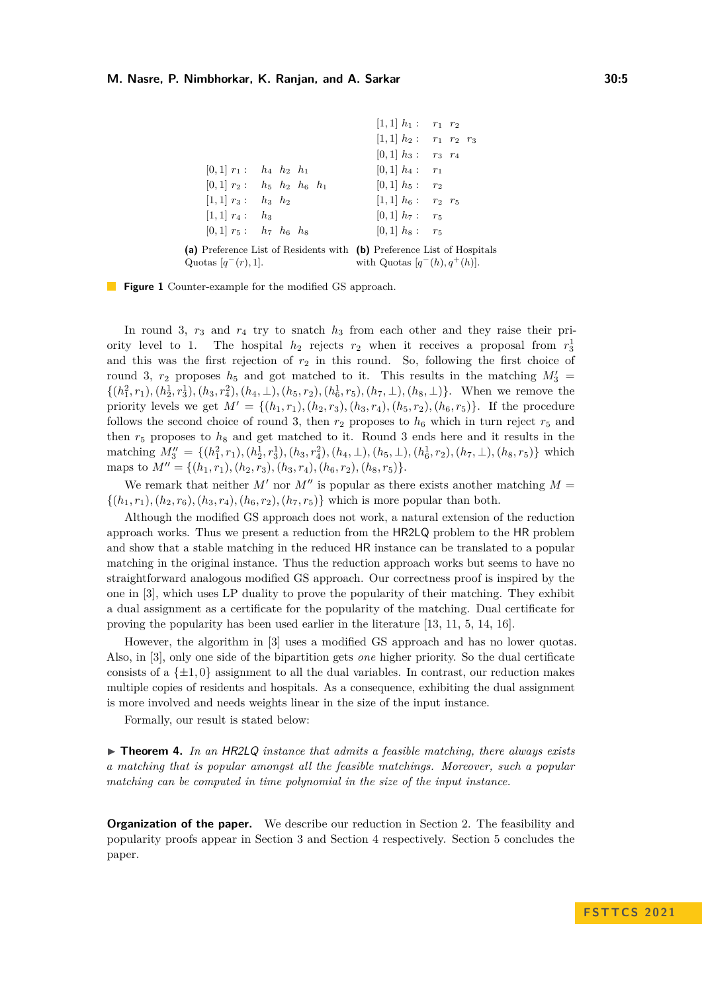<span id="page-4-0"></span>

|                                                                        | $[1,1]$ $h_1:$ $r_1$ $r_2$       |  |
|------------------------------------------------------------------------|----------------------------------|--|
|                                                                        | $[1,1]$ $h_2:$ $r_1$ $r_2$ $r_3$ |  |
|                                                                        | $[0,1]$ $h_3:$ $r_3$ $r_4$       |  |
| $ 0, 1 $ $r_1$ : $h_4$ $h_2$ $h_1$                                     | $[0,1]$ $h_4:$ $r_1$             |  |
| $[0, 1]$ $r_2$ : $h_5$ $h_2$ $h_6$ $h_1$                               | $[0,1]$ $h_5:$ $r_2$             |  |
| $[1, 1]$ $r_3:$ $h_3$ $h_2$                                            | $[1,1]$ $h_6:$ $r_2$ $r_5$       |  |
| $[1,1]$ $r_4: h_3$                                                     | $[0,1]$ $h_7:$ $r_5$             |  |
| $[0,1]$ $r_5$ : $h_7$ $h_6$ $h_8$                                      | $[0,1]$ $h_8:$ $r_5$             |  |
| (a) Preference List of Residents with (b) Preference List of Hospitals |                                  |  |
| Quotas $ q^-(r), 1 $ .                                                 | with Quotas $[q^-(h), q^+(h)]$ . |  |

**Figure 1** Counter-example for the modified GS approach.

In round 3, *r*<sup>3</sup> and *r*<sup>4</sup> try to snatch *h*<sup>3</sup> from each other and they raise their priority level to 1. The hospital  $h_2$  rejects  $r_2$  when it receives a proposal from  $r_3^1$ and this was the first rejection of  $r_2$  in this round. So, following the first choice of round 3,  $r_2$  proposes  $h_5$  and got matched to it. This results in the matching  $M'_3$  =  $\{(h_1^2,r_1), (h_2^1,r_3^1), (h_3,r_4^2), (h_4,\perp), (h_5,r_2), (h_6^1,r_5), (h_7,\perp), (h_8,\perp)\}.$  When we remove the priority levels we get  $M' = \{(h_1, r_1), (h_2, r_3), (h_3, r_4), (h_5, r_2), (h_6, r_5)\}.$  If the procedure follows the second choice of round 3, then  $r_2$  proposes to  $h_6$  which in turn reject  $r_5$  and then  $r_5$  proposes to  $h_8$  and get matched to it. Round 3 ends here and it results in the matching  $M_3'' = \{(h_1^2, r_1), (h_2^1, r_3^1), (h_3, r_4^2), (h_4, \perp), (h_5, \perp), (h_6^1, r_2), (h_7, \perp), (h_8, r_5)\}\$  which maps to  $M'' = \{(h_1, r_1), (h_2, r_3), (h_3, r_4), (h_6, r_2), (h_8, r_5)\}.$ 

We remark that neither  $M'$  nor  $M''$  is popular as there exists another matching  $M =$  $\{(h_1, r_1), (h_2, r_6), (h_3, r_4), (h_6, r_2), (h_7, r_5)\}$  which is more popular than both.

Although the modified GS approach does not work, a natural extension of the reduction approach works. Thus we present a reduction from the HR2LQ problem to the HR problem and show that a stable matching in the reduced HR instance can be translated to a popular matching in the original instance. Thus the reduction approach works but seems to have no straightforward analogous modified GS approach. Our correctness proof is inspired by the one in [\[3\]](#page-16-12), which uses LP duality to prove the popularity of their matching. They exhibit a dual assignment as a certificate for the popularity of the matching. Dual certificate for proving the popularity has been used earlier in the literature [\[13,](#page-16-10) [11,](#page-16-15) [5,](#page-16-16) [14,](#page-16-17) [16\]](#page-16-18).

However, the algorithm in [\[3\]](#page-16-12) uses a modified GS approach and has no lower quotas. Also, in [\[3\]](#page-16-12), only one side of the bipartition gets *one* higher priority. So the dual certificate consists of a  $\{\pm 1, 0\}$  assignment to all the dual variables. In contrast, our reduction makes multiple copies of residents and hospitals. As a consequence, exhibiting the dual assignment is more involved and needs weights linear in the size of the input instance.

<span id="page-4-1"></span>Formally, our result is stated below:

▶ **Theorem 4.** *In an* HR2LQ *instance that admits a feasible matching, there always exists a matching that is popular amongst all the feasible matchings. Moreover, such a popular matching can be computed in time polynomial in the size of the input instance.*

**Organization of the paper.** We describe our reduction in Section [2.](#page-5-0) The feasibility and popularity proofs appear in Section [3](#page-7-0) and Section [4](#page-9-0) respectively. Section [5](#page-15-2) concludes the paper.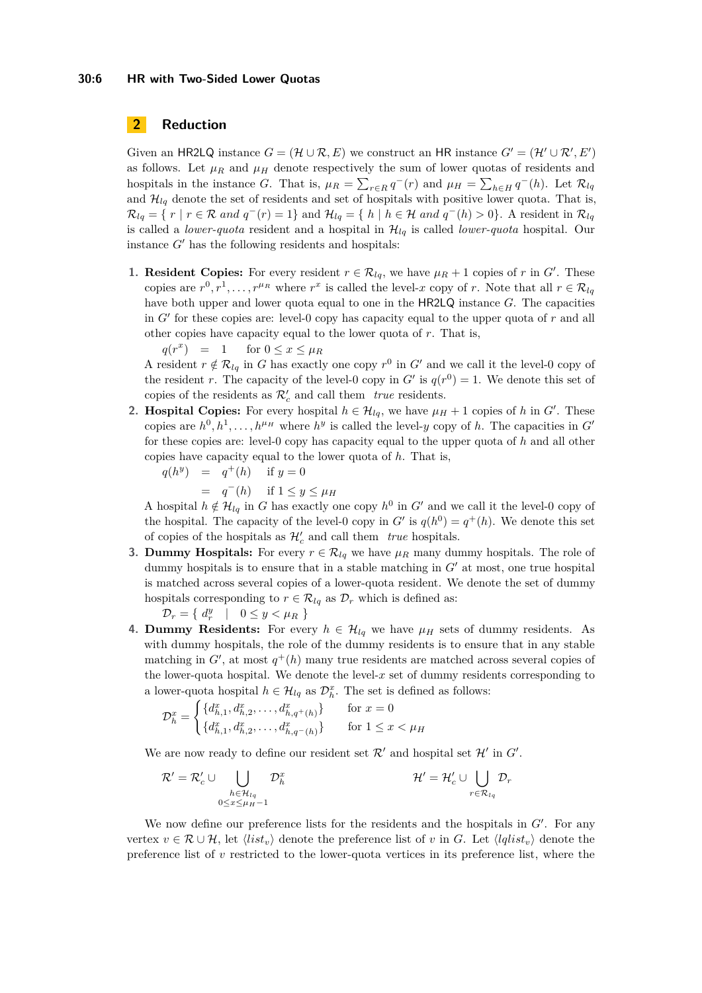### <span id="page-5-0"></span>**2 Reduction**

Given an HR2LQ instance  $G = (\mathcal{H} \cup \mathcal{R}, E)$  we construct an HR instance  $G' = (\mathcal{H}' \cup \mathcal{R}', E')$ as follows. Let  $\mu_R$  and  $\mu_H$  denote respectively the sum of lower quotas of residents and hospitals in the instance *G*. That is,  $\mu_R = \sum_{r \in R} q^-(r)$  and  $\mu_H = \sum_{h \in H} q^-(h)$ . Let  $\mathcal{R}_{lq}$ and  $\mathcal{H}_{lq}$  denote the set of residents and set of hospitals with positive lower quota. That is,  $\mathcal{R}_{lq} = \{ r \mid r \in \mathcal{R} \text{ and } q^{-}(r) = 1 \}$  and  $\mathcal{H}_{lq} = \{ h \mid h \in \mathcal{H} \text{ and } q^{-}(h) > 0 \}.$  A resident in  $\mathcal{R}_{lq}$ is called a *lower-quota* resident and a hospital in  $\mathcal{H}_{lq}$  is called *lower-quota* hospital. Our instance *G*′ has the following residents and hospitals:

**1. Resident Copies:** For every resident  $r \in \mathcal{R}_{lq}$ , we have  $\mu_R + 1$  copies of *r* in *G'*. These copies are  $r^0, r^1, \ldots, r^{\mu_R}$  where  $r^x$  is called the level-*x* copy of *r*. Note that all  $r \in \mathcal{R}_{lq}$ have both upper and lower quota equal to one in the HR2LQ instance *G*. The capacities in *G*′ for these copies are: level-0 copy has capacity equal to the upper quota of *r* and all other copies have capacity equal to the lower quota of *r*. That is,

 $q(r^x) = 1$  for  $0 \le x \le \mu_R$ 

A resident  $r \notin \mathcal{R}_{lq}$  in *G* has exactly one copy  $r^0$  in *G*' and we call it the level-0 copy of the resident *r*. The capacity of the level-0 copy in  $G'$  is  $q(r^0) = 1$ . We denote this set of copies of the residents as  $\mathcal{R}'_c$  and call them *true* residents.

**2. Hospital Copies:** For every hospital  $h \in \mathcal{H}_{lq}$ , we have  $\mu_H + 1$  copies of *h* in *G*<sup>'</sup>. These copies are  $h^0, h^1, \ldots, h^{\mu}$ <sup>*H*</sup> where  $h^y$  is called the level-*y* copy of *h*. The capacities in *G*<sup>'</sup> for these copies are: level-0 copy has capacity equal to the upper quota of *h* and all other copies have capacity equal to the lower quota of *h*. That is,

$$
q(h^y) = q^+(h) \quad \text{if } y = 0
$$
  
= 
$$
q^-(h) \quad \text{if } 1 \le y \le \mu_H
$$

A hospital  $h \notin \mathcal{H}_{lq}$  in *G* has exactly one copy  $h^0$  in *G'* and we call it the level-0 copy of the hospital. The capacity of the level-0 copy in  $G'$  is  $q(h^0) = q^+(h)$ . We denote this set of copies of the hospitals as  $\mathcal{H}'_c$  and call them *true* hospitals.

**3. Dummy Hospitals:** For every  $r \in \mathcal{R}_{lq}$  we have  $\mu_R$  many dummy hospitals. The role of dummy hospitals is to ensure that in a stable matching in *G*′ at most, one true hospital is matched across several copies of a lower-quota resident. We denote the set of dummy hospitals corresponding to  $r \in \mathcal{R}_{lq}$  as  $\mathcal{D}_r$  which is defined as:

 $\mathcal{D}_r = \{ d_r^y \mid 0 \leq y < \mu_R \}$ 

**4. Dummy Residents:** For every  $h \in \mathcal{H}_{lq}$  we have  $\mu_H$  sets of dummy residents. As with dummy hospitals, the role of the dummy residents is to ensure that in any stable matching in  $G'$ , at most  $q^+(h)$  many true residents are matched across several copies of the lower-quota hospital. We denote the level- $x$  set of dummy residents corresponding to a lower-quota hospital  $h \in \mathcal{H}_{lq}$  as  $\mathcal{D}_{h}^{x}$ . The set is defined as follows:

$$
\mathcal{D}_h^x = \begin{cases} \{d_{h,1}^x, d_{h,2}^x, \dots, d_{h,q+(h)}^x\} & \text{for } x = 0\\ \{d_{h,1}^x, d_{h,2}^x, \dots, d_{h,q-(h)}^x\} & \text{for } 1 \le x < \mu_H \end{cases}
$$

We are now ready to define our resident set  $\mathcal{R}'$  and hospital set  $\mathcal{H}'$  in  $G'$ .

$$
\mathcal{R}' = \mathcal{R}'_c \cup \bigcup_{\substack{h \in \mathcal{H}_{lq} \\ 0 \le x \le \mu_H - 1}} \mathcal{D}_h^x \qquad \qquad \mathcal{H}' = \mathcal{H}'_c \cup \bigcup_{r \in \mathcal{R}_{lq}} \mathcal{D}_r
$$

We now define our preference lists for the residents and the hospitals in  $G'$ . For any vertex  $v \in \mathcal{R} \cup \mathcal{H}$ , let  $\langle list_v \rangle$  denote the preference list of *v* in *G*. Let  $\langle \mathit{lqlist_v} \rangle$  denote the preference list of *v* restricted to the lower-quota vertices in its preference list, where the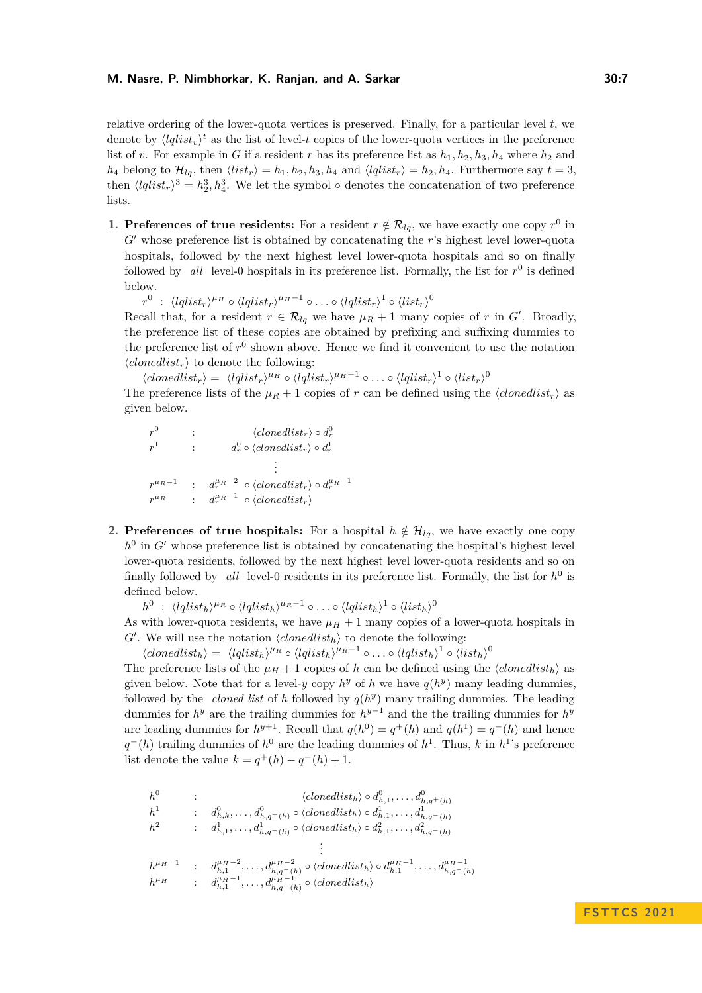relative ordering of the lower-quota vertices is preserved. Finally, for a particular level *t*, we denote by  $\langle lqlist_v \rangle^t$  as the list of level-*t* copies of the lower-quota vertices in the preference list of *v*. For example in *G* if a resident *r* has its preference list as  $h_1, h_2, h_3, h_4$  where  $h_2$  and  $h_4$  belong to  $\mathcal{H}_{lq}$ , then  $\langle list_r \rangle = h_1, h_2, h_3, h_4$  and  $\langle lqlist_r \rangle = h_2, h_4$ . Furthermore say  $t = 3$ , then  $\langle lqlist_r\rangle^3 = h_2^3, h_4^3$ . We let the symbol  $\circ$  denotes the concatenation of two preference lists.

**1. Preferences of true residents:** For a resident  $r \notin \mathcal{R}_{lq}$ , we have exactly one copy  $r^0$  in *G*′ whose preference list is obtained by concatenating the *r*'s highest level lower-quota hospitals, followed by the next highest level lower-quota hospitals and so on finally followed by *all* level-0 hospitals in its preference list. Formally, the list for  $r^0$  is defined below.

 $r^0$  :  $\langle lqlist_r\rangle^{\mu_H}\circ\langle lqlist_r\rangle^{\mu_H-1}\circ\ldots\circ\langle lqlist_r\rangle^1\circ\langle list_r\rangle^0$ 

Recall that, for a resident  $r \in \mathcal{R}_{lq}$  we have  $\mu_R + 1$  many copies of *r* in *G*<sup>'</sup>. Broadly, the preference list of these copies are obtained by prefixing and suffixing dummies to the preference list of  $r^0$  shown above. Hence we find it convenient to use the notation  $\langle$ *clonedlist<sub>r</sub>* $\rangle$  to denote the following:

 $\langle \textit{clonedlist}_r \rangle = \langle \textit{lqlist}_r \rangle^{\mu_H} \circ \langle \textit{lqlist}_r \rangle^{\mu_H - 1} \circ \ldots \circ \langle \textit{lqlist}_r \rangle^1 \circ \langle \textit{list}_r \rangle^0$ 

The preference lists of the  $\mu_R + 1$  copies of *r* can be defined using the  $\langle \text{clonedlist}_r \rangle$  as given below.

 $r^0$  :  $\langle \textit{clonedlist}_r \rangle \circ d_r^0$  $r^1$  :  $d_r^0 \circ \langle \mathit{clonedlist}_r \rangle \circ d_r^1$ . . .  $r^{\mu_R - 1}$  :  $d_r^{\mu_R - 2} \circ \langle \textit{clonedlist}_r \rangle \circ d_r^{\mu_R - 1}$  $r^{\mu_R}$  :  $d_r^{\mu_R-1} \circ \langle \mathit{clonedlist}_r \rangle$ 

**2. Preferences of true hospitals:** For a hospital  $h \notin \mathcal{H}_{lq}$ , we have exactly one copy  $h^0$  in  $G'$  whose preference list is obtained by concatenating the hospital's highest level lower-quota residents, followed by the next highest level lower-quota residents and so on finally followed by *all* level-0 residents in its preference list. Formally, the list for  $h^0$  is defined below.

 $h^0$  :  $\langle lqlist_h\rangle^{\mu_R}\circ\langle lqlist_h\rangle^{\mu_R-1}\circ\ldots\circ\langle lqlist_h\rangle^1\circ\langle list_h\rangle^0$ 

As with lower-quota residents, we have  $\mu_H + 1$  many copies of a lower-quota hospitals in  $G'$ . We will use the notation  $\langle \text{clonedlist}_h \rangle$  to denote the following:

 $\langle \text{clonedlist}_h \rangle = \langle \text{lglist}_h \rangle^{\mu_R} \circ \langle \text{lglist}_h \rangle^{\mu_R-1} \circ \ldots \circ \langle \text{lglist}_h \rangle^1 \circ \langle \text{list}_h \rangle^0$ 

The preference lists of the  $\mu$ <sub>*H*</sub> + 1 copies of *h* can be defined using the  $\langle \text{clonedlist}_h \rangle$  as given below. Note that for a level-*y* copy  $h^y$  of *h* we have  $q(h^y)$  many leading dummies, followed by the *cloned list* of *h* followed by  $q(h^y)$  many trailing dummies. The leading dummies for  $h^y$  are the trailing dummies for  $h^{y-1}$  and the the trailing dummies for  $h^y$ are leading dummies for  $h^{y+1}$ . Recall that  $q(h^0) = q^+(h)$  and  $q(h^1) = q^-(h)$  and hence  $q^-(h)$  trailing dummies of  $h^0$  are the leading dummies of  $h^1$ . Thus, *k* in  $h^1$ 's preference list denote the value  $k = q^+(h) - q^-(h) + 1$ .

$$
h^{0} : \t\t (closed list_{h}) \circ d_{h,1}^{0}, \ldots, d_{h,q+(h)}^{0}
$$
\n
$$
h^{1} : d_{h,k}^{0}, \ldots, d_{h,q+(h)}^{0} \circ \langle closed list_{h} \rangle \circ d_{h,1}^{1}, \ldots, d_{h,q-(h)}^{1}
$$
\n
$$
h^{2} : d_{h,1}^{1}, \ldots, d_{h,q-(h)}^{1} \circ \langle closed dist_{h} \rangle \circ d_{h,1}^{2}, \ldots, d_{h,q-(h)}^{2}
$$
\n
$$
\vdots
$$
\n
$$
h^{\mu_{H}-1} : d_{h,1}^{\mu_{H}-2}, \ldots, d_{h,q-(h)}^{\mu_{H}-2} \circ \langle closed dist_{h} \rangle \circ d_{h,1}^{\mu_{H}-1}, \ldots, d_{h,q-(h)}^{\mu_{H}-1}
$$
\n
$$
h^{\mu_{H}} : d_{h,1}^{\mu_{H}-1}, \ldots, d_{h,q-(h)}^{\mu_{H}-1} \circ \langle closed dist_{h} \rangle
$$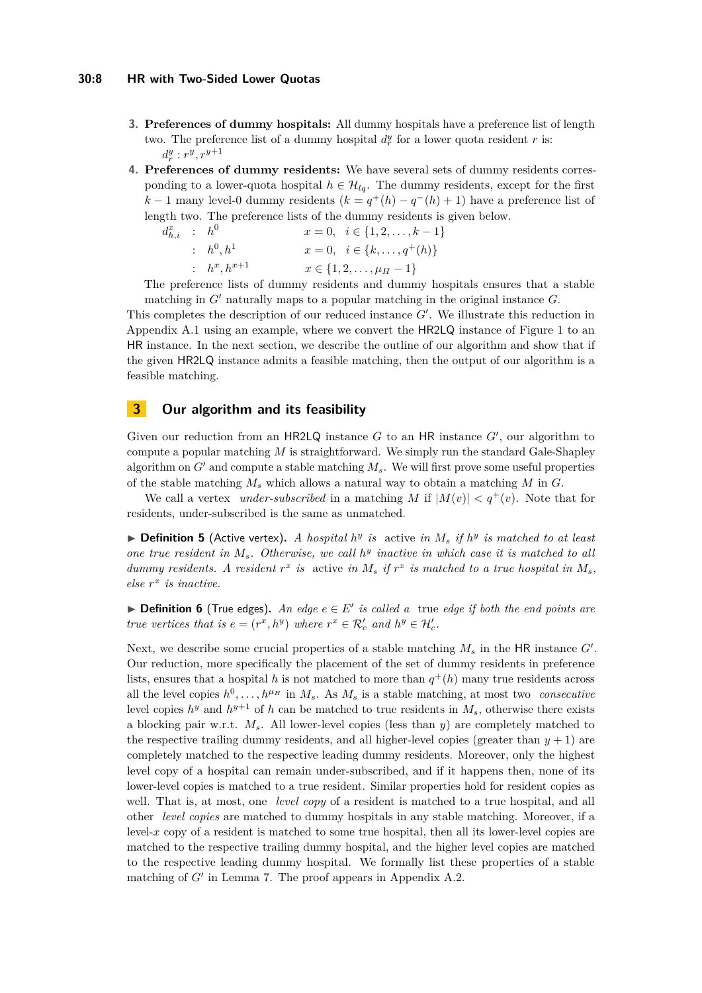#### **30:8 HR with Two-Sided Lower Quotas**

- **3. Preferences of dummy hospitals:** All dummy hospitals have a preference list of length two. The preference list of a dummy hospital  $d_r^y$  for a lower quota resident *r* is:  $d_r^y$  :  $r^y, r^{y+1}$
- **4. Preferences of dummy residents:** We have several sets of dummy residents corresponding to a lower-quota hospital  $h \in \mathcal{H}_{lq}$ . The dummy residents, except for the first *k* − 1 many level-0 dummy residents  $(k = q^+(h) - q^-(h) + 1)$  have a preference list of length two. The preference lists of the dummy residents is given below.

$$
d_{h,i}^x : h^0 \t x = 0, \t i \in \{1, 2, ..., k - 1\}
$$
  
\n
$$
x = 0, \t i \in \{1, 2, ..., k - 1\}
$$
  
\n
$$
x = 0, \t i \in \{k, ..., q^+(h)\}
$$
  
\n
$$
x \in \{1, 2, ..., \mu_H - 1\}
$$

The preference lists of dummy residents and dummy hospitals ensures that a stable matching in *G*′ naturally maps to a popular matching in the original instance *G*.

This completes the description of our reduced instance  $G'$ . We illustrate this reduction in Appendix [A.1](#page-17-0) using an example, where we convert the HR2LQ instance of Figure [1](#page-4-0) to an HR instance. In the next section, we describe the outline of our algorithm and show that if the given HR2LQ instance admits a feasible matching, then the output of our algorithm is a feasible matching.

## <span id="page-7-0"></span>**3 Our algorithm and its feasibility**

Given our reduction from an HR2LQ instance *G* to an HR instance *G*′ , our algorithm to compute a popular matching *M* is straightforward. We simply run the standard Gale-Shapley algorithm on  $G'$  and compute a stable matching  $M_s$ . We will first prove some useful properties of the stable matching *M<sup>s</sup>* which allows a natural way to obtain a matching *M* in *G*.

We call a vertex *under-subscribed* in a matching *M* if  $|M(v)| < q^+(v)$ . Note that for residents, under-subscribed is the same as unmatched.

 $\triangleright$  **Definition 5** (Active vertex). A hospital  $h^y$  is active in  $M_s$  if  $h^y$  is matched to at least *one true resident in Ms. Otherwise, we call h y inactive in which case it is matched to all dummy residents.* A resident  $r^x$  is active in  $M_s$  if  $r^x$  is matched to a true hospital in  $M_s$ , *else r x is inactive.*

▶ **Definition 6** (True edges). An edge  $e \in E'$  is called a true edge if both the end points are *true vertices that is*  $e = (r^x, h^y)$  *where*  $r^x \in \mathcal{R}'_c$  *and*  $h^y \in \mathcal{H}'_c$ *.* 

<span id="page-7-1"></span>Next, we describe some crucial properties of a stable matching *M<sup>s</sup>* in the HR instance *G*′ . Our reduction, more specifically the placement of the set of dummy residents in preference lists, ensures that a hospital *h* is not matched to more than  $q^+(h)$  many true residents across all the level copies  $h^0, \ldots, h^{\mu}$  in  $M_s$ . As  $M_s$  is a stable matching, at most two *consecutive* level copies  $h^y$  and  $h^{y+1}$  of *h* can be matched to true residents in  $M_s$ , otherwise there exists a blocking pair w.r.t. *Ms*. All lower-level copies (less than *y*) are completely matched to the respective trailing dummy residents, and all higher-level copies (greater than  $y + 1$ ) are completely matched to the respective leading dummy residents. Moreover, only the highest level copy of a hospital can remain under-subscribed, and if it happens then, none of its lower-level copies is matched to a true resident. Similar properties hold for resident copies as well. That is, at most, one *level copy* of a resident is matched to a true hospital, and all other *level copies* are matched to dummy hospitals in any stable matching. Moreover, if a  $level-x$  copy of a resident is matched to some true hospital, then all its lower-level copies are matched to the respective trailing dummy hospital, and the higher level copies are matched to the respective leading dummy hospital. We formally list these properties of a stable matching of *G'* in Lemma [7.](#page-7-1) The proof appears in Appendix [A.2.](#page-17-1)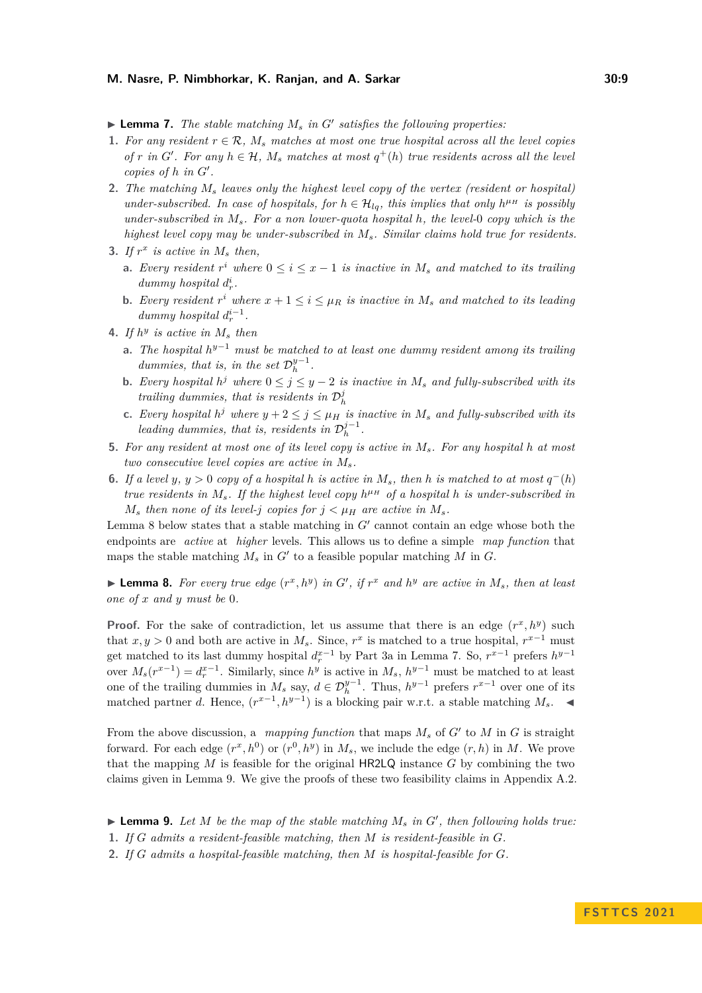$\blacktriangleright$  **Lemma 7.** *The stable matching*  $M_s$  *in*  $G'$  *satisfies the following properties:* 

- <span id="page-8-3"></span>**1.** For any resident  $r \in \mathcal{R}$ ,  $M_s$  matches at most one true hospital across all the level copies *of r in G*<sup> $\prime$ </sup>. For any  $h \in \mathcal{H}$ ,  $M_s$  matches at most  $q^+(h)$  true residents across all the level *copies of h in G*′ *.*
- <span id="page-8-4"></span>**2.** *The matching M<sup>s</sup> leaves only the highest level copy of the vertex (resident or hospital) under-subscribed. In case of hospitals, for*  $h \in \mathcal{H}_{lq}$ *, this implies that only*  $h^{\mu}$ *H is possibly under-subscribed in Ms. For a non lower-quota hospital h, the level-*0 *copy which is the highest level copy may be under-subscribed in Ms. Similar claims hold true for residents.*
- <span id="page-8-5"></span><span id="page-8-1"></span>**3.** If  $r^x$  is active in  $M_s$  then,
	- **a.** *Every resident*  $r^i$  *where*  $0 \leq i \leq x 1$  *is inactive in*  $M_s$  *and matched to its trailing dummy hospital*  $d_r^i$ .
	- **b.** *Every resident*  $r^i$  *where*  $x + 1 \leq i \leq \mu_R$  *is inactive in*  $M_s$  *and matched* to *its leading dummy hospital*  $d_r^{i-1}$ .
- <span id="page-8-12"></span><span id="page-8-7"></span><span id="page-8-6"></span>**4.** If  $h^y$  is active in  $M_s$  then
	- **a.** *The hospital h <sup>y</sup>*−<sup>1</sup> *must be matched to at least one dummy resident among its trailing dummies, that is, in the set*  $\mathcal{D}_h^{y-1}$ .
	- **b.** *Every hospital*  $h^j$  *where*  $0 \leq j \leq y 2$  *is inactive in*  $M_s$  *and fully-subscribed with its trailing dummies, that is residents in*  $\mathcal{D}_h^j$
	- **c.** *Every hospital*  $h^j$  *where*  $y + 2 \leq j \leq \mu_H$  *is inactive in*  $M_s$  *and fully-subscribed with its leading dummies, that is, residents in*  $\mathcal{D}_h^{j-1}$ .
- <span id="page-8-9"></span><span id="page-8-8"></span>**5.** *For any resident at most one of its level copy is active in Ms. For any hospital h at most two consecutive level copies are active in Ms.*
- <span id="page-8-10"></span>**6.** *If a level y*, *y* > 0 *copy of a hospital h is active in*  $M_s$ , *then h is matched to at most*  $q^-(h)$ *true residents in*  $M_s$ *. If the highest level copy*  $h^{\mu}$  *M of a hospital h is under-subscribed in M*<sup>*s*</sup> *then none of its level-j copies for*  $j < \mu_H$  *are active in*  $M_s$ *.*

Lemma [8](#page-8-0) below states that a stable matching in  $G'$  cannot contain an edge whose both the endpoints are *active* at *higher* levels. This allows us to define a simple *map function* that maps the stable matching  $M_s$  in  $G'$  to a feasible popular matching  $M$  in  $G$ .

<span id="page-8-0"></span> $\blacktriangleright$  **Lemma 8.** For every true edge  $(r^x, h^y)$  in G', if  $r^x$  and  $h^y$  are active in  $M_s$ , then at least *one of x and y must be* 0*.*

**Proof.** For the sake of contradiction, let us assume that there is an edge  $(r^x, h^y)$  such that  $x, y > 0$  and both are active in  $M_s$ . Since,  $r^x$  is matched to a true hospital,  $r^{x-1}$  must get matched to its last dummy hospital  $d_r^{x-1}$  by Part [3a](#page-8-1) in Lemma [7.](#page-7-1) So,  $r^{x-1}$  prefers  $h^{y-1}$ over  $M_s(r^{x-1}) = d_r^{x-1}$ . Similarly, since  $h^y$  is active in  $M_s$ ,  $h^{y-1}$  must be matched to at least one of the trailing dummies in  $M_s$  say,  $d \in \mathcal{D}_h^{y-1}$ . Thus,  $h^{y-1}$  prefers  $r^{x-1}$  over one of its matched partner *d*. Hence,  $(r^{x-1}, h^{y-1})$  is a blocking pair w.r.t. a stable matching *M<sub>s</sub>*. ◀

From the above discussion, a *mapping function* that maps *M<sup>s</sup>* of *G*′ to *M* in *G* is straight forward. For each edge  $(r^x, h^0)$  or  $(r^0, h^y)$  in  $M_s$ , we include the edge  $(r, h)$  in  $M$ . We prove that the mapping *M* is feasible for the original HR2LQ instance *G* by combining the two claims given in Lemma [9.](#page-8-2) We give the proofs of these two feasibility claims in Appendix [A.2.](#page-17-1)

<span id="page-8-2"></span> $\blacktriangleright$  **Lemma 9.** Let M be the map of the stable matching  $M_s$  in  $G'$ , then following holds true:

<span id="page-8-13"></span>**1.** *If G admits a resident-feasible matching, then M is resident-feasible in G.*

<span id="page-8-11"></span>**2.** *If G admits a hospital-feasible matching, then M is hospital-feasible for G.*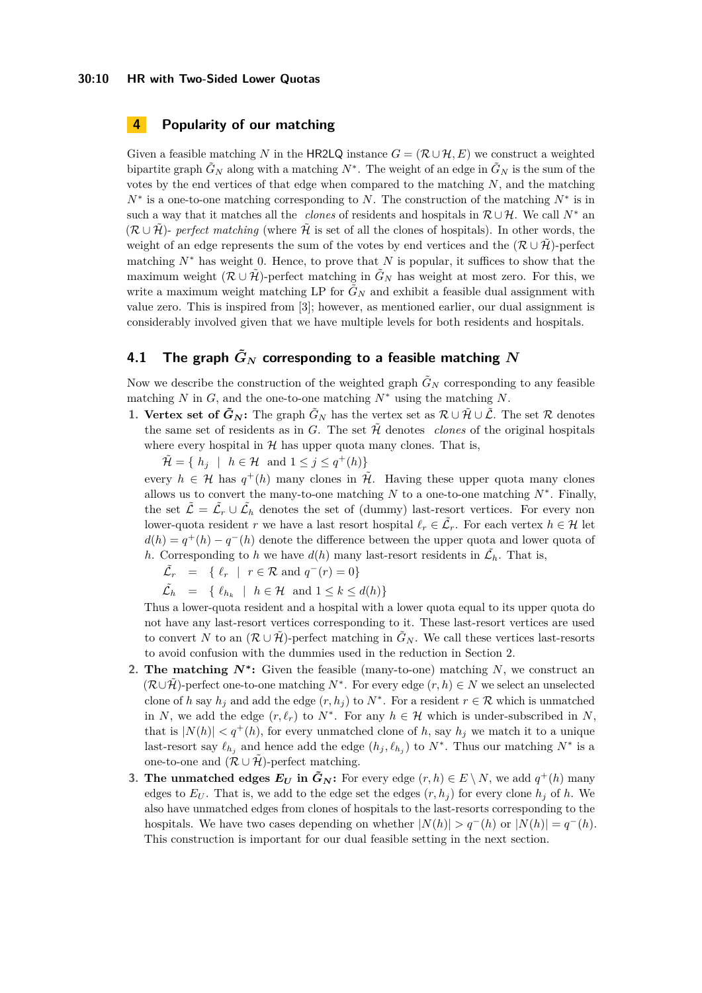## <span id="page-9-0"></span>**4 Popularity of our matching**

Given a feasible matching *N* in the HR2LQ instance  $G = (\mathcal{R} \cup \mathcal{H}, E)$  we construct a weighted bipartite graph  $\tilde{G}_N$  along with a matching  $N^*$ . The weight of an edge in  $\tilde{G}_N$  is the sum of the votes by the end vertices of that edge when compared to the matching *N*, and the matching *N*<sup>∗</sup> is a one-to-one matching corresponding to *N*. The construction of the matching *N*<sup>∗</sup> is in such a way that it matches all the *clones* of residents and hospitals in  $\mathcal{R} \cup \mathcal{H}$ . We call  $N^*$  and  $(\mathcal{R} \cup \mathcal{H})$ - *perfect matching* (where  $\mathcal{H}$  is set of all the clones of hospitals). In other words, the weight of an edge represents the sum of the votes by end vertices and the  $(\mathcal{R} \cup \mathcal{H})$ -perfect matching *N*<sup>∗</sup> has weight 0. Hence, to prove that *N* is popular, it suffices to show that the maximum weight  $(\mathcal{R} \cup \tilde{\mathcal{H}})$ -perfect matching in  $\tilde{G}_N$  has weight at most zero. For this, we write a maximum weight matching LP for  $\tilde{G}_N$  and exhibit a feasible dual assignment with value zero. This is inspired from [\[3\]](#page-16-12); however, as mentioned earlier, our dual assignment is considerably involved given that we have multiple levels for both residents and hospitals.

## <span id="page-9-1"></span>**4.1** The graph  $\tilde{G}_N$  corresponding to a feasible matching  $N$

Now we describe the construction of the weighted graph  $\tilde{G}_N$  corresponding to any feasible matching *N* in *G*, and the one-to-one matching *N*<sup>∗</sup> using the matching *N*.

**1. Vertex set of**  $\tilde{G}_N$ **:** The graph  $\tilde{G}_N$  has the vertex set as  $\mathcal{R} \cup \tilde{\mathcal{H}} \cup \tilde{\mathcal{L}}$ . The set  $\mathcal{R}$  denotes the same set of residents as in *G*. The set  $\hat{\mathcal{H}}$  denotes *clones* of the original hospitals where every hospital in  $H$  has upper quota many clones. That is,

 $\widetilde{\mathcal{H}} = \{ h_j \mid h \in \mathcal{H} \text{ and } 1 \leq j \leq q^+(h) \}$ 

every  $h \in \mathcal{H}$  has  $q^+(h)$  many clones in  $\tilde{\mathcal{H}}$ . Having these upper quota many clones allows us to convert the many-to-one matching  $N$  to a one-to-one matching  $N^*$ . Finally, the set  $\tilde{\mathcal{L}} = \tilde{\mathcal{L}}_r \cup \tilde{\mathcal{L}}_h$  denotes the set of (dummy) last-resort vertices. For every non lower-quota resident *r* we have a last resort hospital  $\ell_r \in \tilde{\mathcal{L}}_r$ . For each vertex  $h \in \mathcal{H}$  let  $d(h) = q^+(h) - q^-(h)$  denote the difference between the upper quota and lower quota of *h*. Corresponding to *h* we have  $d(h)$  many last-resort residents in  $\tilde{\mathcal{L}}_h$ . That is,

 $\tilde{\mathcal{L}}_r = \{ \ell_r \mid r \in \mathcal{R} \text{ and } q^-(r) = 0 \}$ 

 $\tilde{\mathcal{L}}_h = \{ \ell_{h_k} \mid h \in \mathcal{H} \text{ and } 1 \leq k \leq d(h) \}$ 

Thus a lower-quota resident and a hospital with a lower quota equal to its upper quota do not have any last-resort vertices corresponding to it. These last-resort vertices are used to convert *N* to an  $(\mathcal{R} \cup \mathcal{H})$ -perfect matching in  $\tilde{G}_N$ . We call these vertices last-resorts to avoid confusion with the dummies used in the reduction in Section [2.](#page-5-0)

- **2. The matching**  $N^*$ **:** Given the feasible (many-to-one) matching  $N$ , we construct an  $(\mathcal{R}\cup\tilde{\mathcal{H}})$ -perfect one-to-one matching  $N^*$ . For every edge  $(r, h) \in N$  we select an unselected clone of *h* say  $h_j$  and add the edge  $(r, h_j)$  to  $N^*$ . For a resident  $r \in \mathcal{R}$  which is unmatched in *N*, we add the edge  $(r, \ell_r)$  to  $N^*$ . For any  $h \in \mathcal{H}$  which is under-subscribed in *N*, that is  $|N(h)| < q^+(h)$ , for every unmatched clone of h, say  $h_j$  we match it to a unique last-resort say  $\ell_{h_j}$  and hence add the edge  $(h_j, \ell_{h_j})$  to  $N^*$ . Thus our matching  $N^*$  is a one-to-one and  $(\mathcal{R} \cup \tilde{\mathcal{H}})$ -perfect matching.
- **3. The unmatched edges**  $E_U$  **in**  $\tilde{G}_N$ **: For every edge**  $(r, h) \in E \setminus N$ **, we add**  $q^+(h)$  **many** edges to  $E_U$ . That is, we add to the edge set the edges  $(r, h_i)$  for every clone  $h_i$  of h. We also have unmatched edges from clones of hospitals to the last-resorts corresponding to the hospitals. We have two cases depending on whether  $|N(h)| > q^{-}(h)$  or  $|N(h)| = q^{-}(h)$ . This construction is important for our dual feasible setting in the next section.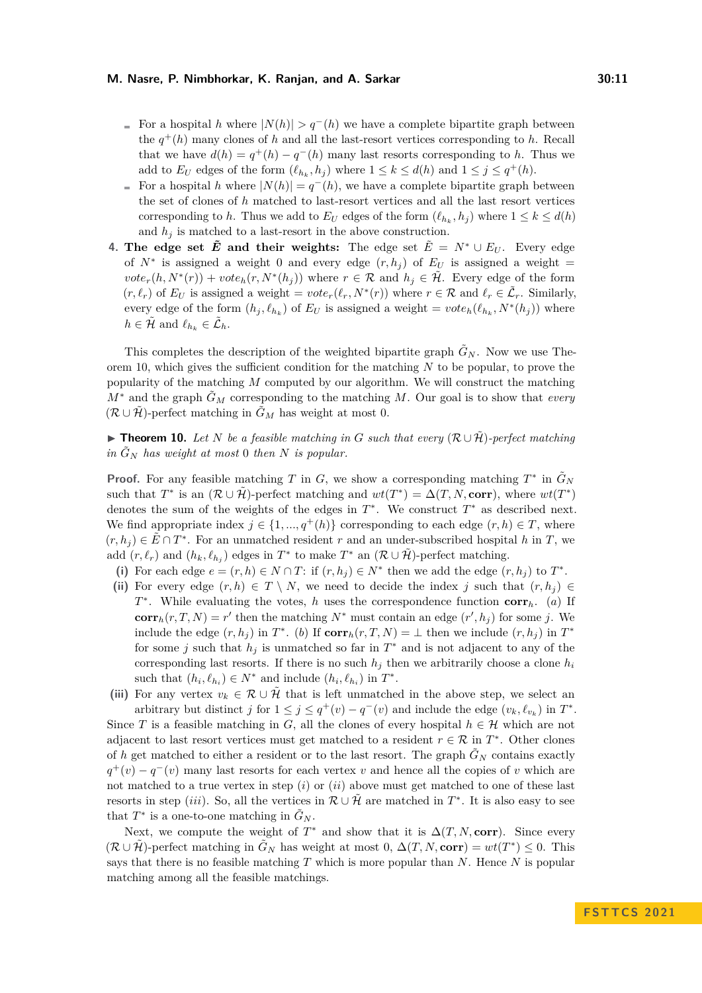- For a hospital *h* where  $|N(h)| > q^-(h)$  we have a complete bipartite graph between the  $q^+(h)$  many clones of *h* and all the last-resort vertices corresponding to *h*. Recall that we have  $d(h) = q^+(h) - q^-(h)$  many last resorts corresponding to *h*. Thus we add to  $E_U$  edges of the form  $(\ell_{h_k}, h_j)$  where  $1 \leq k \leq d(h)$  and  $1 \leq j \leq q^+(h)$ .
- For a hospital *h* where  $|N(h)| = q^-(h)$ , we have a complete bipartite graph between  $\bar{a}$ the set of clones of *h* matched to last-resort vertices and all the last resort vertices corresponding to *h*. Thus we add to  $E_U$  edges of the form  $(\ell_{h_k}, h_j)$  where  $1 \leq k \leq d(h)$ and  $h_j$  is matched to a last-resort in the above construction.
- **4.** The edge set  $\tilde{E}$  and their weights: The edge set  $\tilde{E} = N^* \cup E_U$ . Every edge of  $N^*$  is assigned a weight 0 and every edge  $(r, h_j)$  of  $E_U$  is assigned a weight =  $\mathit{vote}_r(h, N^*(r)) + \mathit{vote}_h(r, N^*(h_j))$  where  $r \in \mathcal{R}$  and  $h_j \in \mathcal{H}$ . Every edge of the form  $(r, \ell_r)$  of  $E_U$  is assigned a weight =  $vote_r(\ell_r, N^*(r))$  where  $r \in \mathcal{R}$  and  $\ell_r \in \tilde{\mathcal{L}}_r$ . Similarly, every edge of the form  $(h_j, \ell_{h_k})$  of  $E_U$  is assigned a weight =  $vote_h(\ell_{h_k}, N^*(h_j))$  where  $h \in \tilde{\mathcal{H}}$  and  $\ell_{h_k} \in \tilde{\mathcal{L}}_h$ .

This completes the description of the weighted bipartite graph  $\tilde{G}_N$ . Now we use Theorem [10,](#page-10-0) which gives the sufficient condition for the matching *N* to be popular, to prove the popularity of the matching *M* computed by our algorithm. We will construct the matching *M*<sup>∗</sup> and the graph  $\tilde{G}_M$  corresponding to the matching *M*. Our goal is to show that *every*  $(\mathcal{R} \cup \tilde{\mathcal{H}})$ -perfect matching in  $\tilde{G}_M$  has weight at most 0.

<span id="page-10-0"></span>▶ **Theorem 10.** Let *N* be a feasible matching in *G* such that every  $(\mathcal{R} \cup \tilde{\mathcal{H}})$ -perfect matching *in*  $\tilde{G}_N$  *has weight at most* 0 *then N is popular.* 

**Proof.** For any feasible matching *T* in *G*, we show a corresponding matching  $T^*$  in  $\tilde{G}_N$ such that  $T^*$  is an  $(\mathcal{R} \cup \mathcal{H})$ -perfect matching and  $wt(T^*) = \Delta(T, N, \text{corr})$ , where  $wt(T^*)$ denotes the sum of the weights of the edges in  $T^*$ . We construct  $T^*$  as described next. We find appropriate index  $j \in \{1, ..., q^+(h)\}\)$  corresponding to each edge  $(r, h) \in T$ , where  $(r, h_j) \in \tilde{E} \cap T^*$ . For an unmatched resident *r* and an under-subscribed hospital *h* in *T*, we add  $(r, \ell_r)$  and  $(h_k, \ell_{h_j})$  edges in  $T^*$  to make  $T^*$  an  $(\mathcal{R} \cup \mathcal{H})$ -perfect matching.

- (i) For each edge  $e = (r, h) \in N \cap T$ : if  $(r, h_j) \in N^*$  then we add the edge  $(r, h_j)$  to  $T^*$ .
- (ii) For every edge  $(r, h) \in T \setminus N$ , we need to decide the index *j* such that  $(r, h<sub>j</sub>) \in$ *T* ∗ . While evaluating the votes, *h* uses the correspondence function **corr***h*. (*a*) If **corr**<sub>*h*</sub>(*r*, *T*, *N*) = *r*<sup>'</sup> then the matching  $N^*$  must contain an edge  $(r', h_j)$  for some *j*. We include the edge  $(r, h_j)$  in  $T^*$ . (*b*) If  $\text{corr}_h(r, T, N) = \perp$  then we include  $(r, h_j)$  in  $T^*$ for some *j* such that  $h_j$  is unmatched so far in  $T^*$  and is not adjacent to any of the corresponding last resorts. If there is no such  $h_j$  then we arbitrarily choose a clone  $h_i$ such that  $(h_i, \ell_{h_i}) \in N^*$  and include  $(h_i, \ell_{h_i})$  in  $T^*$ .
- (iii) For any vertex  $v_k \in \mathcal{R} \cup \tilde{\mathcal{H}}$  that is left unmatched in the above step, we select an arbitrary but distinct *j* for  $1 \leq j \leq q^+(v) - q^-(v)$  and include the edge  $(v_k, \ell_{v_k})$  in  $T^*$ .

Since *T* is a feasible matching in *G*, all the clones of every hospital  $h \in \mathcal{H}$  which are not adjacent to last resort vertices must get matched to a resident  $r \in \mathcal{R}$  in  $T^*$ . Other clones of *h* get matched to either a resident or to the last resort. The graph  $\tilde{G}_N$  contains exactly  $q^+(v) - q^-(v)$  many last resorts for each vertex *v* and hence all the copies of *v* which are not matched to a true vertex in step (*i*) or (*ii*) above must get matched to one of these last resorts in step *(iii)*. So, all the vertices in  $\mathcal{R} \cup \tilde{\mathcal{H}}$  are matched in  $T^*$ . It is also easy to see that  $T^*$  is a one-to-one matching in  $\tilde{G}_N$ .

Next, we compute the weight of  $T^*$  and show that it is  $\Delta(T, N, corr)$ . Since every  $(\mathcal{R} \cup \tilde{\mathcal{H}})$ -perfect matching in  $\tilde{G}_N$  has weight at most 0,  $\Delta(T, N, \text{corr}) = wt(T^*) \leq 0$ . This says that there is no feasible matching *T* which is more popular than *N*. Hence *N* is popular matching among all the feasible matchings.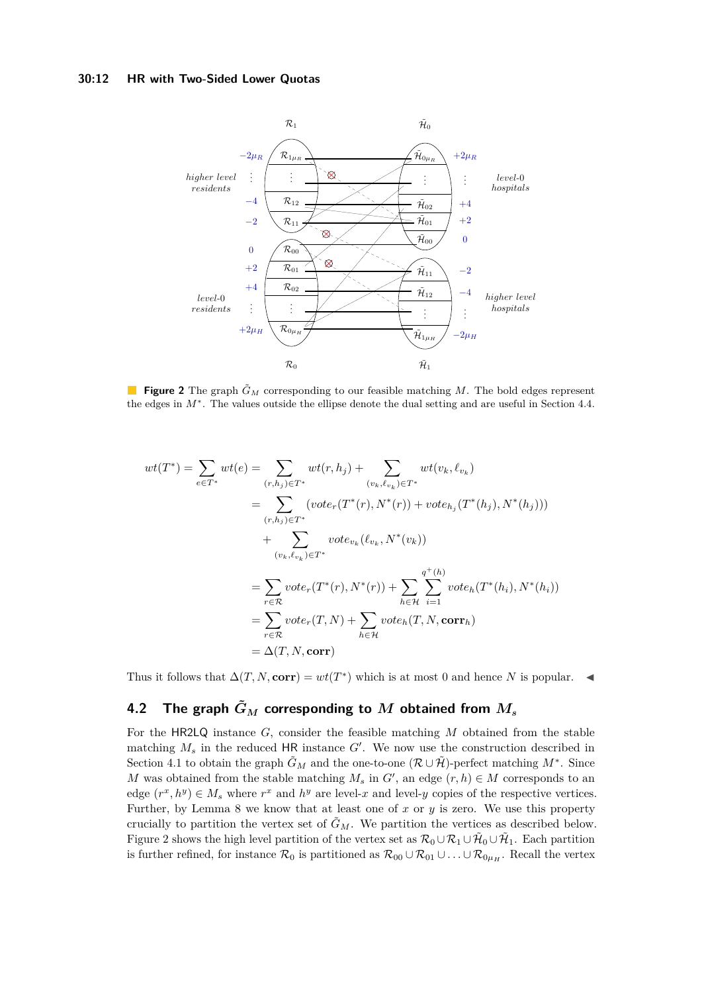#### **30:12 HR with Two-Sided Lower Quotas**

<span id="page-11-0"></span>

**Figure 2** The graph  $\tilde{G}_M$  corresponding to our feasible matching M. The bold edges represent the edges in *M*<sup>∗</sup> . The values outside the ellipse denote the dual setting and are useful in Section [4.4.](#page-14-0)

$$
wt(T^*) = \sum_{e \in T^*} wt(e) = \sum_{(r,h_j) \in T^*} wt(r,h_j) + \sum_{(v_k,\ell_{v_k}) \in T^*} wt(v_k,\ell_{v_k})
$$
  
\n
$$
= \sum_{(r,h_j) \in T^*} (vote_r(T^*(r), N^*(r)) + vote_{h_j}(T^*(h_j), N^*(h_j)))
$$
  
\n
$$
+ \sum_{(v_k,\ell_{v_k}) \in T^*} vote_{v_k}(\ell_{v_k}, N^*(v_k))
$$
  
\n
$$
= \sum_{r \in \mathcal{R}} vote_r(T^*(r), N^*(r)) + \sum_{h \in \mathcal{H}} \sum_{i=1}^{q^+(h)} vote_h(T^*(h_i), N^*(h_i))
$$
  
\n
$$
= \sum_{r \in \mathcal{R}} vote_r(T, N) + \sum_{h \in \mathcal{H}} vote_h(T, N, corr_h)
$$
  
\n
$$
= \Delta(T, N, corr)
$$

Thus it follows that  $\Delta(T, N, corr) = wt(T^*)$  which is at most 0 and hence *N* is popular.  $\blacktriangleleft$ 

## **4.2** The graph  $\tilde{G}_M$  corresponding to  $M$  obtained from  $M_s$

For the HR2LQ instance *G*, consider the feasible matching *M* obtained from the stable matching *M<sup>s</sup>* in the reduced HR instance *G*′ . We now use the construction described in Section [4.1](#page-9-1) to obtain the graph  $\tilde{G}_M$  and the one-to-one  $(\mathcal{R} \cup \tilde{\mathcal{H}})$ -perfect matching  $M^*$ . Since *M* was obtained from the stable matching  $M_s$  in  $G'$ , an edge  $(r, h) \in M$  corresponds to an edge  $(r^x, h^y) \in M_s$  where  $r^x$  and  $h^y$  are level-*x* and level-*y* copies of the respective vertices. Further, by Lemma [8](#page-8-0) we know that at least one of *x* or *y* is zero. We use this property crucially to partition the vertex set of  $\tilde{G}_M$ . We partition the vertices as described below. Figure [2](#page-11-0) shows the high level partition of the vertex set as  $\mathcal{R}_0\cup\mathcal{R}_1\cup\tilde{\mathcal{H}}_0\cup\tilde{\mathcal{H}}_1$ . Each partition is further refined, for instance  $\mathcal{R}_0$  is partitioned as  $\mathcal{R}_{00} \cup \mathcal{R}_{01} \cup \ldots \cup \mathcal{R}_{0\mu_H}$ . Recall the vertex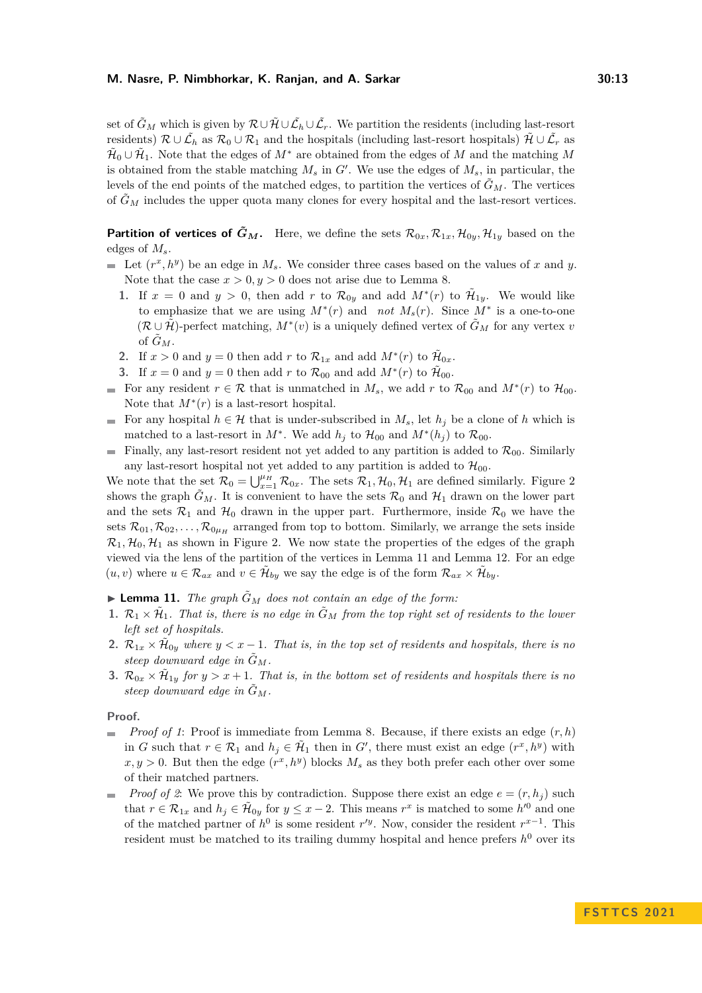set of  $\tilde{G}_M$  which is given by  $\mathcal{R} \cup \tilde{\mathcal{H}} \cup \tilde{\mathcal{L}}_h \cup \tilde{\mathcal{L}}_r$ . We partition the residents (including last-resort residents)  $\mathcal{R} \cup \tilde{\mathcal{L}}_h$  as  $\mathcal{R}_0 \cup \mathcal{R}_1$  and the hospitals (including last-resort hospitals)  $\tilde{\mathcal{H}} \cup \tilde{\mathcal{L}}_r$  as  $\tilde{\mathcal{H}}_0 \cup \tilde{\mathcal{H}}_1$ . Note that the edges of  $M^*$  are obtained from the edges of  $M$  and the matching  $M$ is obtained from the stable matching *M<sup>s</sup>* in *G*′ . We use the edges of *Ms*, in particular, the levels of the end points of the matched edges, to partition the vertices of  $\tilde{G}_M$ . The vertices of  $\tilde{G}_M$  includes the upper quota many clones for every hospital and the last-resort vertices.

**Partition of vertices of**  $\tilde{G}_M$ **.** Here, we define the sets  $\mathcal{R}_{0x}$ ,  $\mathcal{R}_{1x}$ ,  $\mathcal{H}_{0y}$ ,  $\mathcal{H}_{1y}$  based on the edges of *Ms*.

- Let  $(r^x, h^y)$  be an edge in  $M_s$ . We consider three cases based on the values of *x* and *y*. Note that the case  $x > 0, y > 0$  does not arise due to Lemma [8.](#page-8-0)
	- **1.** If  $x = 0$  and  $y > 0$ , then add  $r$  to  $\mathcal{R}_{0y}$  and add  $M^*(r)$  to  $\tilde{\mathcal{H}}_{1y}$ . We would like to emphasize that we are using  $M^*(r)$  and *not*  $M_s(r)$ . Since  $M^*$  is a one-to-one  $(\mathcal{R} \cup \tilde{\mathcal{H}})$ -perfect matching,  $M^*(v)$  is a uniquely defined vertex of  $\tilde{G}_M$  for any vertex *v* of  $\tilde{G}_M$ .
	- **2.** If  $x > 0$  and  $y = 0$  then add  $r$  to  $\mathcal{R}_{1x}$  and add  $M^*(r)$  to  $\tilde{\mathcal{H}}_{0x}$ .
	- **3.** If  $x = 0$  and  $y = 0$  then add  $r$  to  $\mathcal{R}_{00}$  and add  $M^*(r)$  to  $\tilde{\mathcal{H}}_{00}$ .
- For any resident  $r \in \mathcal{R}$  that is unmatched in  $M_s$ , we add  $r$  to  $\mathcal{R}_{00}$  and  $M^*(r)$  to  $\mathcal{H}_{00}$ . Note that  $M^*(r)$  is a last-resort hospital.
- For any hospital  $h \in \mathcal{H}$  that is under-subscribed in  $M_s$ , let  $h_j$  be a clone of h which is  $\overline{\phantom{a}}$ matched to a last-resort in  $M^*$ . We add  $h_j$  to  $\mathcal{H}_{00}$  and  $M^*(h_j)$  to  $\mathcal{R}_{00}$ .
- Finally, any last-resort resident not yet added to any partition is added to  $\mathcal{R}_{00}$ . Similarly  $\rightarrow$ any last-resort hospital not yet added to any partition is added to  $\mathcal{H}_{00}$ .

We note that the set  $\mathcal{R}_0 = \bigcup_{x=1}^{\mu} \mathcal{R}_{0x}$ . The sets  $\mathcal{R}_1, \mathcal{H}_0, \mathcal{H}_1$  are defined similarly. Figure [2](#page-11-0) shows the graph  $\tilde{G}_M$ . It is convenient to have the sets  $\mathcal{R}_0$  and  $\mathcal{H}_1$  drawn on the lower part and the sets  $\mathcal{R}_1$  and  $\mathcal{H}_0$  drawn in the upper part. Furthermore, inside  $\mathcal{R}_0$  we have the sets  $\mathcal{R}_{01}, \mathcal{R}_{02}, \ldots, \mathcal{R}_{0\mu_H}$  arranged from top to bottom. Similarly, we arrange the sets inside  $\mathcal{R}_1, \mathcal{H}_0, \mathcal{H}_1$  as shown in Figure [2.](#page-11-0) We now state the properties of the edges of the graph viewed via the lens of the partition of the vertices in Lemma [11](#page-12-0) and Lemma [12.](#page-13-0) For an edge  $(u, v)$  where  $u \in \mathcal{R}_{ax}$  and  $v \in \mathcal{H}_{by}$  we say the edge is of the form  $\mathcal{R}_{ax} \times \mathcal{H}_{by}$ .

<span id="page-12-0"></span> $\blacktriangleright$  **Lemma 11.** *The graph*  $\tilde{G}_M$  *does not contain an edge of the form:* 

- <span id="page-12-1"></span>**1.**  $\mathcal{R}_1 \times \tilde{\mathcal{H}}_1$ . That is, there is no edge in  $\tilde{G}_M$  from the top right set of residents to the lower *left set of hospitals.*
- <span id="page-12-2"></span>**2.**  $\mathcal{R}_{1x} \times \tilde{\mathcal{H}}_{0y}$  where  $y < x - 1$ . That is, in the top set of residents and hospitals, there is no *steep downward edge in*  $G_M$ *.*
- <span id="page-12-3"></span>**3.**  $\mathcal{R}_{0x} \times \tilde{\mathcal{H}}_{1y}$  for  $y > x + 1$ . That is, in the bottom set of residents and hospitals there is no *steep downward edge in*  $\tilde{G}_M$ *.*

#### **Proof.**

- *Proof of [1](#page-12-1)*: Proof is immediate from Lemma [8.](#page-8-0) Because, if there exists an edge (*r, h*)  $\sim$ in *G* such that  $r \in \mathcal{R}_1$  and  $h_j \in \tilde{\mathcal{H}}_1$  then in *G'*, there must exist an edge  $(r^x, h^y)$  with  $x, y > 0$ . But then the edge  $(r^x, h^y)$  blocks  $M_s$  as they both prefer each other over some of their matched partners.
- *Proof of [2](#page-12-2)*: We prove this by contradiction. Suppose there exist an edge  $e = (r, h_i)$  such  $\blacksquare$ that  $r \in \mathcal{R}_{1x}$  and  $h_j \in \tilde{\mathcal{H}}_{0y}$  for  $y \leq x - 2$ . This means  $r^x$  is matched to some  $h'^0$  and one of the matched partner of  $h^0$  is some resident  $r'^y$ . Now, consider the resident  $r^{x-1}$ . This resident must be matched to its trailing dummy hospital and hence prefers  $h^0$  over its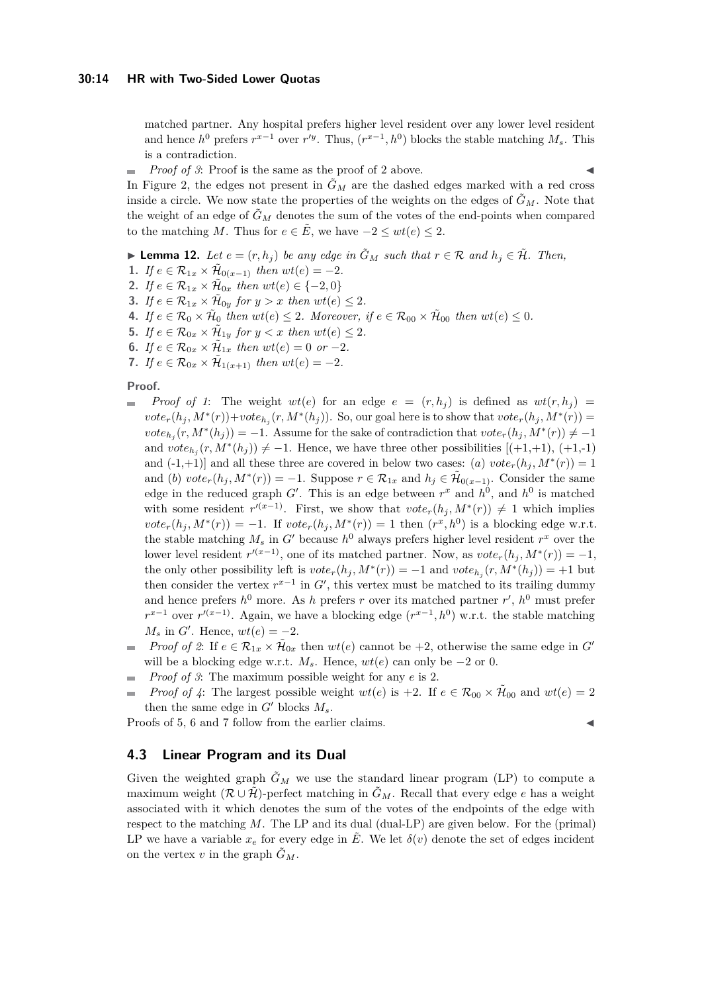matched partner. Any hospital prefers higher level resident over any lower level resident and hence  $h^0$  prefers  $r^{x-1}$  over  $r'^y$ . Thus,  $(r^{x-1}, h^0)$  blocks the stable matching  $M_s$ . This is a contradiction.

*Proof of* [3](#page-12-3): Proof is the same as the proof of [2](#page-12-2) above.

In Figure [2,](#page-11-0) the edges not present in  $\tilde{G}_M$  are the dashed edges marked with a red cross inside a circle. We now state the properties of the weights on the edges of  $\tilde{G}_M$ . Note that the weight of an edge of  $\tilde{G}_M$  denotes the sum of the votes of the end-points when compared to the matching *M*. Thus for  $e \in \overline{E}$ , we have  $-2 \leq wt(e) \leq 2$ .

<span id="page-13-0"></span>▶ **Lemma 12.** *Let*  $e = (r, h_i)$  *be any edge in*  $\tilde{G}_M$  *such that*  $r \in \mathcal{R}$  *and*  $h_i \in \tilde{\mathcal{H}}$ *. Then,* 

- <span id="page-13-1"></span>**1.** *If*  $e \in \mathcal{R}_{1x} \times \tilde{\mathcal{H}}_{0(x-1)}$  *then*  $wt(e) = -2$ *.*
- <span id="page-13-2"></span>**2.** *If*  $e \in \mathcal{R}_{1x} \times \tilde{\mathcal{H}}_{0x}$  *then*  $wt(e) \in \{-2, 0\}$
- <span id="page-13-3"></span>**3.** *If*  $e \in \mathcal{R}_{1x} \times \tilde{\mathcal{H}}_{0y}$  for  $y > x$  then  $wt(e) \leq 2$ .
- <span id="page-13-4"></span>**4.** If  $e \in \mathcal{R}_0 \times \tilde{\mathcal{H}}_0$  then  $wt(e) \leq 2$ . Moreover, if  $e \in \mathcal{R}_{00} \times \tilde{\mathcal{H}}_{00}$  then  $wt(e) \leq 0$ .
- <span id="page-13-5"></span>**5.** *If*  $e \in \mathcal{R}_{0x} \times \tilde{\mathcal{H}}_{1y}$  for  $y < x$  then  $wt(e) \leq 2$ .
- <span id="page-13-6"></span>**6.** *If*  $e \in \mathcal{R}_{0x} \times \tilde{\mathcal{H}}_{1x}$  *then*  $wt(e) = 0$  *or*  $-2$ *.*
- <span id="page-13-7"></span>**7.** *If*  $e \in \mathcal{R}_{0x} \times \tilde{\mathcal{H}}_{1(x+1)}$  *then*  $wt(e) = -2$ *.*

#### **Proof.**

- *Proof of [1](#page-13-1)*: The weight  $wt(e)$  for an edge  $e = (r, h_i)$  is defined as  $wt(r, h_i)$  $\blacksquare$  $vote_r(h_j, M^*(r)) + vote_{h_j}(r, M^*(h_j))$ . So, our goal here is to show that  $vote_r(h_j, M^*(r))$  =  $\mathit{vote}_{h_j}(r, M^*(h_j)) = -1$ . Assume for the sake of contradiction that  $\mathit{vote}_r(h_j, M^*(r)) \neq -1$ and  $vote_{h_j}(r, M^*(h_j)) \neq -1$ . Hence, we have three other possibilities [(+1,+1), (+1,-1) and  $(-1,+1)$  and all these three are covered in below two cases: (*a*)  $vote<sub>r</sub>(h<sub>j</sub>, M<sup>*</sup>(r)) = 1$ and (*b*)  $vote_r(h_j, M^*(r)) = -1$ . Suppose  $r \in \mathcal{R}_{1x}$  and  $h_j \in \tilde{\mathcal{H}}_{0(x-1)}$ . Consider the same edge in the reduced graph  $G'$ . This is an edge between  $r^x$  and  $h^0$ , and  $h^0$  is matched with some resident  $r^{(x-1)}$ . First, we show that  $vote_r(h_j, M^*(r)) \neq 1$  which implies  $\mathit{vote}_r(h_j, M^*(r)) = -1$ . If  $\mathit{vote}_r(h_j, M^*(r)) = 1$  then  $(r^x, h^0)$  is a blocking edge w.r.t. the stable matching  $M_s$  in  $G'$  because  $h^0$  always prefers higher level resident  $r^x$  over the lower level resident  $r^{(x-1)}$ , one of its matched partner. Now, as  $vote_r(h_j, M^*(r)) = -1$ , the only other possibility left is  $vote_r(h_j, M^*(r)) = -1$  and  $vote_{h_j}(r, M^*(h_j)) = +1$  but then consider the vertex  $r^{x-1}$  in  $G'$ , this vertex must be matched to its trailing dummy and hence prefers *h* <sup>0</sup> more. As *h* prefers *r* over its matched partner *r* ′ , *h* <sup>0</sup> must prefer  $r^{x-1}$  over  $r^{(x-1)}$ . Again, we have a blocking edge  $(r^{x-1}, h^0)$  w.r.t. the stable matching  $M_s$  in *G*<sup> $\prime$ </sup>. Hence,  $wt(e) = -2$ .
- *Proof of* [2](#page-13-2): If  $e \in \mathcal{R}_{1x} \times \tilde{\mathcal{H}}_{0x}$  then  $wt(e)$  cannot be +2, otherwise the same edge in  $G'$ will be a blocking edge w.r.t.  $M_s$ . Hence,  $wt(e)$  can only be  $-2$  or 0.
- *Proof of [3](#page-13-3)*: The maximum possible weight for any *e* is 2.  $\overline{\phantom{a}}$
- *Proof of* [4](#page-13-4): The largest possible weight  $wt(e)$  is +2. If  $e \in \mathcal{R}_{00} \times \tilde{\mathcal{H}}_{00}$  and  $wt(e) = 2$  $\overline{a}$ then the same edge in  $G'$  blocks  $M_s$ .

Proofs of [5,](#page-13-5) [6](#page-13-6) and [7](#page-13-7) follow from the earlier claims.

#### **4.3 Linear Program and its Dual**

Given the weighted graph  $\tilde{G}_M$  we use the standard linear program (LP) to compute a maximum weight  $(\mathcal{R} \cup \mathcal{H})$ -perfect matching in  $\tilde{G}_M$ . Recall that every edge *e* has a weight associated with it which denotes the sum of the votes of the endpoints of the edge with respect to the matching *M*. The LP and its dual (dual-LP) are given below. For the (primal) LP we have a variable  $x_e$  for every edge in  $\tilde{E}$ . We let  $\delta(v)$  denote the set of edges incident on the vertex *v* in the graph  $\tilde{G}_M$ .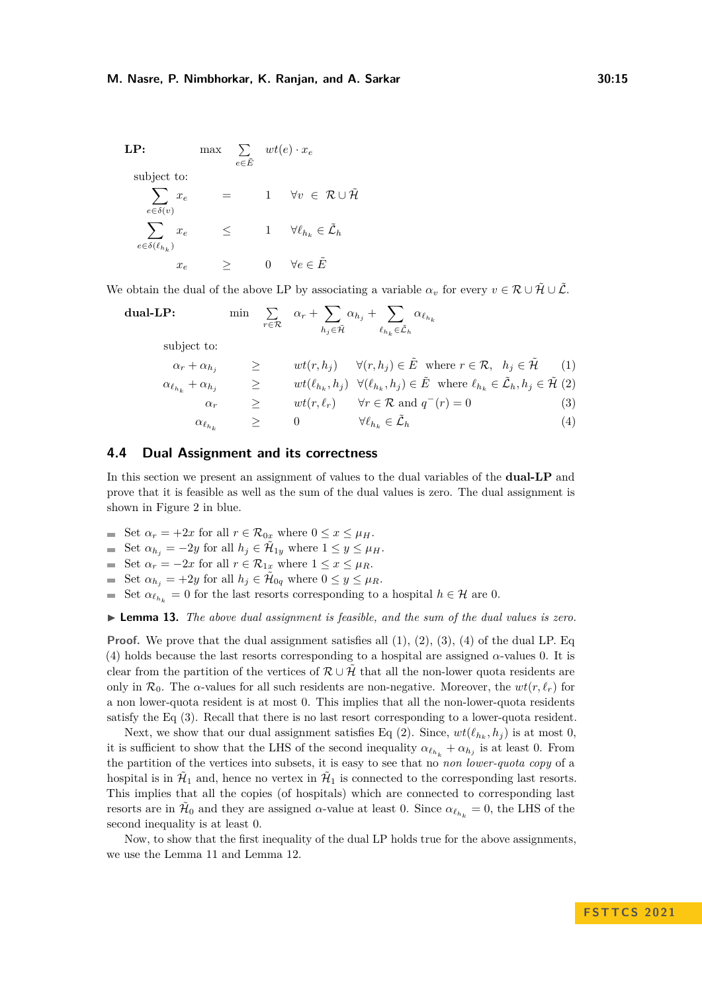**LP:** max 
$$
\sum_{e \in \tilde{E}} wt(e) \cdot x_e
$$
  
\nsubject to:  
\n $\sum_{e \in \delta(v)} x_e = 1 \quad \forall v \in \mathcal{R} \cup \tilde{\mathcal{H}}$   
\n $\sum_{e \in \delta(\ell_{h_k})} x_e \le 1 \quad \forall \ell_{h_k} \in \tilde{\mathcal{L}}_h$   
\n $x_e \ge 0 \quad \forall e \in \tilde{E}$ 

We obtain the dual of the above LP by associating a variable  $\alpha_v$  for every  $v \in \mathcal{R} \cup \tilde{\mathcal{H}} \cup \tilde{\mathcal{L}}$ .

dual-LP: 
$$
\min \sum_{r \in \mathcal{R}} \alpha_r + \sum_{h_j \in \tilde{\mathcal{H}}} \alpha_{h_j} + \sum_{\ell_{h_k} \in \tilde{\mathcal{L}}_h} \alpha_{\ell_{h_k}}
$$

subject to:

$$
\alpha_r + \alpha_{h_j} \geq \text{wt}(r, h_j) \quad \forall (r, h_j) \in \tilde{E} \text{ where } r \in \mathcal{R}, \quad h_j \in \tilde{\mathcal{H}} \tag{1}
$$
\n
$$
\alpha_{\ell_{h_k}} + \alpha_{h_j} \geq \text{wt}(\ell_{h_k}, h_j) \quad \forall (\ell_{h_k}, h_j) \in \tilde{E} \text{ where } \ell_{h_k} \in \tilde{\mathcal{L}}_h, h_j \in \tilde{\mathcal{H}} \tag{2}
$$
\n
$$
\alpha_r \geq \text{wt}(r, \ell_r) \quad \forall r \in \mathcal{R} \text{ and } q^-(r) = 0 \tag{3}
$$

$$
\alpha_{\ell_{h_k}} \qquad \geq \qquad 0 \qquad \qquad \forall \ell_{h_k} \in \tilde{\mathcal{L}}_h \tag{4}
$$

#### <span id="page-14-0"></span>**4.4 Dual Assignment and its correctness**

In this section we present an assignment of values to the dual variables of the **dual-LP** and prove that it is feasible as well as the sum of the dual values is zero. The dual assignment is shown in Figure [2](#page-11-0) in blue.

- Set  $\alpha_r = +2x$  for all  $r \in \mathcal{R}_{0x}$  where  $0 \leq x \leq \mu_H$ .
- Set  $\alpha_{h_j} = -2y$  for all  $h_j \in \mathcal{H}_{1y}$  where  $1 \leq y \leq \mu_H$ .
- Set  $\alpha_r = -2x$  for all  $r \in \mathcal{R}_{1x}$  where  $1 \leq x \leq \mu_R$ .
- Set  $\alpha_{h_j} = +2y$  for all  $h_j \in \tilde{\mathcal{H}}_{0q}$  where  $0 \leq y \leq \mu_R$ .
- Set  $\alpha_{\ell_{h_k}} = 0$  for the last resorts corresponding to a hospital  $h \in \mathcal{H}$  are 0.  $\mathbf{r}$

<span id="page-14-1"></span>▶ **Lemma 13.** *The above dual assignment is feasible, and the sum of the dual values is zero.*

**Proof.** We prove that the dual assignment satisfies all  $(1)$ ,  $(2)$ ,  $(3)$ ,  $(4)$  of the dual LP. Eq. (4) holds because the last resorts corresponding to a hospital are assigned  $\alpha$ -values 0. It is clear from the partition of the vertices of  $\mathcal{R} \cup \mathcal{H}$  that all the non-lower quota residents are only in  $\mathcal{R}_0$ . The  $\alpha$ -values for all such residents are non-negative. Moreover, the  $wt(r, \ell_r)$  for a non lower-quota resident is at most 0. This implies that all the non-lower-quota residents satisfy the Eq (3). Recall that there is no last resort corresponding to a lower-quota resident.

Next, we show that our dual assignment satisfies Eq (2). Since,  $wt(\ell_{h_k}, h_j)$  is at most 0, it is sufficient to show that the LHS of the second inequality  $\alpha_{\ell_{h_k}} + \alpha_{h_j}$  is at least 0. From the partition of the vertices into subsets, it is easy to see that no *non lower-quota copy* of a hospital is in  $\mathcal{H}_1$  and, hence no vertex in  $\mathcal{H}_1$  is connected to the corresponding last resorts. This implies that all the copies (of hospitals) which are connected to corresponding last resorts are in  $\tilde{\mathcal{H}}_0$  and they are assigned *α*-value at least 0. Since  $\alpha_{\ell_{h_k}} = 0$ , the LHS of the second inequality is at least 0.

Now, to show that the first inequality of the dual LP holds true for the above assignments, we use the Lemma [11](#page-12-0) and Lemma [12.](#page-13-0)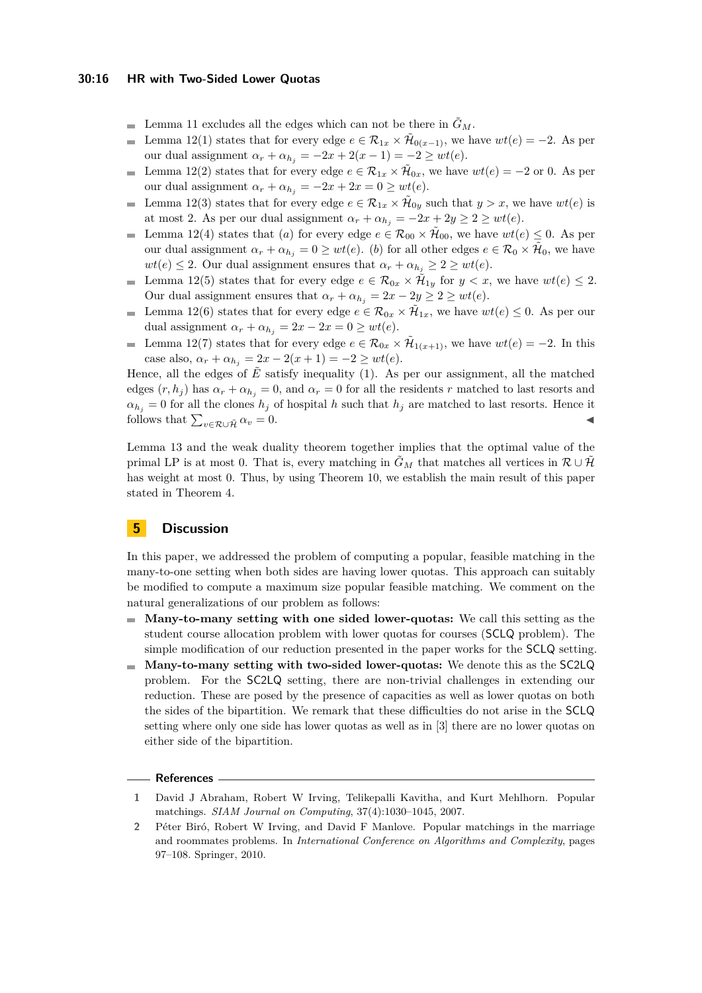#### **30:16 HR with Two-Sided Lower Quotas**

- Lemma [11](#page-12-0) excludes all the edges which can not be there in  $\tilde{G}_M$ .
- Lemma [12](#page-13-0)[\(1\)](#page-13-1) states that for every edge  $e \in \mathcal{R}_{1x} \times \tilde{\mathcal{H}}_{0(x-1)}$ , we have  $wt(e) = -2$ . As per  $\overline{a}$ our dual assignment  $\alpha_r + \alpha_{h_i} = -2x + 2(x - 1) = -2 \ge wt(e)$ .
- Lemma [12](#page-13-0)[\(2\)](#page-13-2) states that for every edge  $e \in \mathcal{R}_{1x} \times \tilde{\mathcal{H}}_{0x}$ , we have  $wt(e) = -2$  or 0. As per  $\blacksquare$ our dual assignment  $\alpha_r + \alpha_{h_i} = -2x + 2x = 0 \ge wt(e)$ .
- Lemma [12](#page-13-0)[\(3\)](#page-13-3) states that for every edge  $e \in \mathcal{R}_{1x} \times \tilde{\mathcal{H}}_{0y}$  such that  $y > x$ , we have  $wt(e)$  is  $\blacksquare$ at most 2. As per our dual assignment  $\alpha_r + \alpha_{h_j} = -2x + 2y \ge 2 \ge wt(e)$ .
- Lemma [12](#page-13-0)[\(4\)](#page-13-4) states that (*a*) for every edge  $e \in \mathcal{R}_{00} \times \mathcal{H}_{00}$ , we have  $wt(e) \leq 0$ . As per  $\mathcal{L}_{\mathcal{A}}$ our dual assignment  $\alpha_r + \alpha_{h_j} = 0 \ge wt(e)$ . (*b*) for all other edges  $e \in \mathcal{R}_0 \times \tilde{\mathcal{H}}_0$ , we have  $wt(e) \leq 2$ . Our dual assignment ensures that  $\alpha_r + \alpha_{h_i} \geq 2 \geq wt(e)$ .
- Lemma [12](#page-13-0)[\(5\)](#page-13-5) states that for every edge  $e \in \mathcal{R}_{0x} \times \mathcal{H}_{1y}$  for  $y < x$ , we have  $wt(e) \leq 2$ .  $\mathcal{L}_{\mathcal{A}}$ Our dual assignment ensures that  $\alpha_r + \alpha_{h_j} = 2x - 2y \geq 2 \geq wt(e)$ .
- Lemma [12\(](#page-13-0)[6\)](#page-13-6) states that for every edge  $e \in \mathcal{R}_{0x} \times \tilde{\mathcal{H}}_{1x}$ , we have  $wt(e) \leq 0$ . As per our dual assignment  $\alpha_r + \alpha_{h_i} = 2x - 2x = 0 \ge wt(e)$ .
- Lemma [12\(](#page-13-0)[7\)](#page-13-7) states that for every edge  $e \in \mathcal{R}_{0x} \times \tilde{\mathcal{H}}_{1(x+1)}$ , we have  $wt(e) = -2$ . In this  $\blacksquare$ case also,  $\alpha_r + \alpha_{h_i} = 2x - 2(x+1) = -2 \ge wt(e)$ .

Hence, all the edges of  $\tilde{E}$  satisfy inequality (1). As per our assignment, all the matched edges  $(r, h_j)$  has  $\alpha_r + \alpha_{h_j} = 0$ , and  $\alpha_r = 0$  for all the residents *r* matched to last resorts and  $a_{h_j} = 0$  for all the clones  $h_j$  of hospital *h* such that  $h_j$  are matched to last resorts. Hence it follows that  $\sum_{v \in \mathcal{R} \cup \tilde{\mathcal{H}}} \alpha_v = 0$ .

Lemma [13](#page-14-1) and the weak duality theorem together implies that the optimal value of the primal LP is at most 0. That is, every matching in  $\tilde{G}_M$  that matches all vertices in  $\mathcal{R} \cup \tilde{\mathcal{H}}$ has weight at most 0. Thus, by using Theorem [10,](#page-10-0) we establish the main result of this paper stated in Theorem [4.](#page-4-1)

### <span id="page-15-2"></span>**5 Discussion**

In this paper, we addressed the problem of computing a popular, feasible matching in the many-to-one setting when both sides are having lower quotas. This approach can suitably be modified to compute a maximum size popular feasible matching. We comment on the natural generalizations of our problem as follows:

- **Many-to-many setting with one sided lower-quotas:** We call this setting as the student course allocation problem with lower quotas for courses (SCLQ problem). The simple modification of our reduction presented in the paper works for the SCLQ setting.
- **Many-to-many setting with two-sided lower-quotas:** We denote this as the SC2LQ problem. For the SC2LQ setting, there are non-trivial challenges in extending our reduction. These are posed by the presence of capacities as well as lower quotas on both the sides of the bipartition. We remark that these difficulties do not arise in the SCLQ setting where only one side has lower quotas as well as in [\[3\]](#page-16-12) there are no lower quotas on either side of the bipartition.

#### **References**

- <span id="page-15-0"></span>**1** David J Abraham, Robert W Irving, Telikepalli Kavitha, and Kurt Mehlhorn. Popular matchings. *SIAM Journal on Computing*, 37(4):1030–1045, 2007.
- <span id="page-15-1"></span>**2** Péter Biró, Robert W Irving, and David F Manlove. Popular matchings in the marriage and roommates problems. In *International Conference on Algorithms and Complexity*, pages 97–108. Springer, 2010.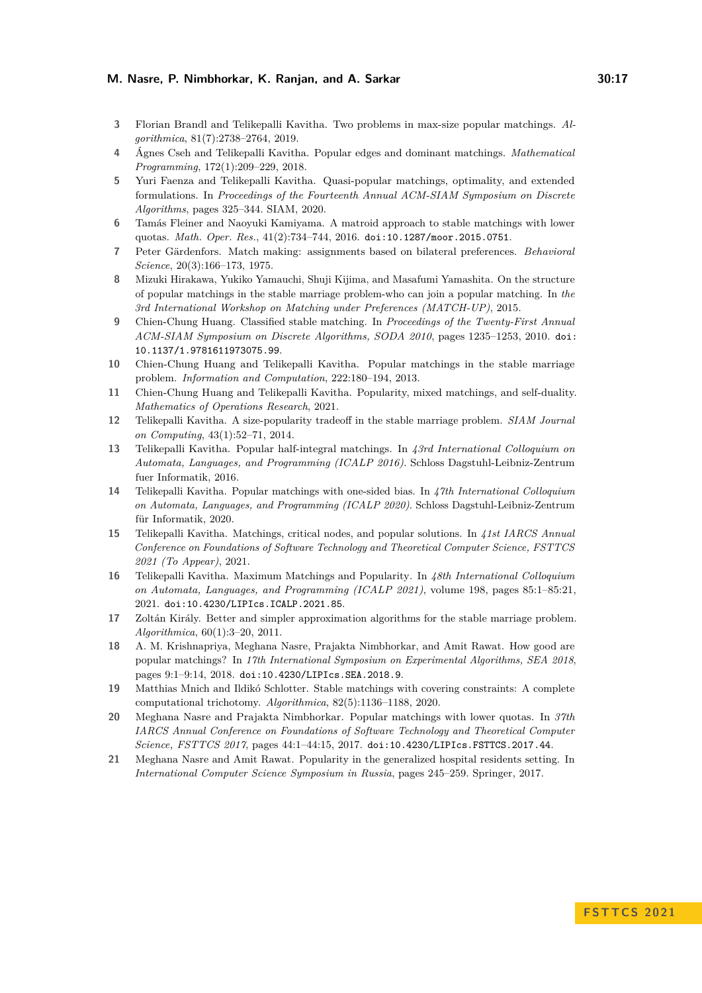- <span id="page-16-12"></span>**3** Florian Brandl and Telikepalli Kavitha. Two problems in max-size popular matchings. *Algorithmica*, 81(7):2738–2764, 2019.
- <span id="page-16-8"></span>**4** Ágnes Cseh and Telikepalli Kavitha. Popular edges and dominant matchings. *Mathematical Programming*, 172(1):209–229, 2018.
- <span id="page-16-16"></span>**5** Yuri Faenza and Telikepalli Kavitha. Quasi-popular matchings, optimality, and extended formulations. In *Proceedings of the Fourteenth Annual ACM-SIAM Symposium on Discrete Algorithms*, pages 325–344. SIAM, 2020.
- <span id="page-16-2"></span>**6** Tamás Fleiner and Naoyuki Kamiyama. A matroid approach to stable matchings with lower quotas. *Math. Oper. Res.*, 41(2):734–744, 2016. [doi:10.1287/moor.2015.0751](https://doi.org/10.1287/moor.2015.0751).
- <span id="page-16-4"></span>**7** Peter Gärdenfors. Match making: assignments based on bilateral preferences. *Behavioral Science*, 20(3):166–173, 1975.
- <span id="page-16-7"></span>**8** Mizuki Hirakawa, Yukiko Yamauchi, Shuji Kijima, and Masafumi Yamashita. On the structure of popular matchings in the stable marriage problem-who can join a popular matching. In *the 3rd International Workshop on Matching under Preferences (MATCH-UP)*, 2015.
- <span id="page-16-1"></span>**9** Chien-Chung Huang. Classified stable matching. In *Proceedings of the Twenty-First Annual ACM-SIAM Symposium on Discrete Algorithms, SODA 2010*, pages 1235–1253, 2010. [doi:](https://doi.org/10.1137/1.9781611973075.99) [10.1137/1.9781611973075.99](https://doi.org/10.1137/1.9781611973075.99).
- <span id="page-16-5"></span>**10** Chien-Chung Huang and Telikepalli Kavitha. Popular matchings in the stable marriage problem. *Information and Computation*, 222:180–194, 2013.
- <span id="page-16-15"></span>**11** Chien-Chung Huang and Telikepalli Kavitha. Popularity, mixed matchings, and self-duality. *Mathematics of Operations Research*, 2021.
- <span id="page-16-6"></span>**12** Telikepalli Kavitha. A size-popularity tradeoff in the stable marriage problem. *SIAM Journal on Computing*, 43(1):52–71, 2014.
- <span id="page-16-10"></span>**13** Telikepalli Kavitha. Popular half-integral matchings. In *43rd International Colloquium on Automata, Languages, and Programming (ICALP 2016)*. Schloss Dagstuhl-Leibniz-Zentrum fuer Informatik, 2016.
- <span id="page-16-17"></span>**14** Telikepalli Kavitha. Popular matchings with one-sided bias. In *47th International Colloquium on Automata, Languages, and Programming (ICALP 2020)*. Schloss Dagstuhl-Leibniz-Zentrum für Informatik, 2020.
- <span id="page-16-13"></span>**15** Telikepalli Kavitha. Matchings, critical nodes, and popular solutions. In *41st IARCS Annual Conference on Foundations of Software Technology and Theoretical Computer Science, FSTTCS 2021 (To Appear)*, 2021.
- <span id="page-16-18"></span>**16** Telikepalli Kavitha. Maximum Matchings and Popularity. In *48th International Colloquium on Automata, Languages, and Programming (ICALP 2021)*, volume 198, pages 85:1–85:21, 2021. [doi:10.4230/LIPIcs.ICALP.2021.85](https://doi.org/10.4230/LIPIcs.ICALP.2021.85).
- <span id="page-16-14"></span>**17** Zoltán Király. Better and simpler approximation algorithms for the stable marriage problem. *Algorithmica*, 60(1):3–20, 2011.
- <span id="page-16-9"></span>**18** A. M. Krishnapriya, Meghana Nasre, Prajakta Nimbhorkar, and Amit Rawat. How good are popular matchings? In *17th International Symposium on Experimental Algorithms, SEA 2018*, pages 9:1–9:14, 2018. [doi:10.4230/LIPIcs.SEA.2018.9](https://doi.org/10.4230/LIPIcs.SEA.2018.9).
- <span id="page-16-3"></span>**19** Matthias Mnich and Ildikó Schlotter. Stable matchings with covering constraints: A complete computational trichotomy. *Algorithmica*, 82(5):1136–1188, 2020.
- <span id="page-16-0"></span>**20** Meghana Nasre and Prajakta Nimbhorkar. Popular matchings with lower quotas. In *37th IARCS Annual Conference on Foundations of Software Technology and Theoretical Computer Science, FSTTCS 2017*, pages 44:1–44:15, 2017. [doi:10.4230/LIPIcs.FSTTCS.2017.44](https://doi.org/10.4230/LIPIcs.FSTTCS.2017.44).
- <span id="page-16-11"></span>**21** Meghana Nasre and Amit Rawat. Popularity in the generalized hospital residents setting. In *International Computer Science Symposium in Russia*, pages 245–259. Springer, 2017.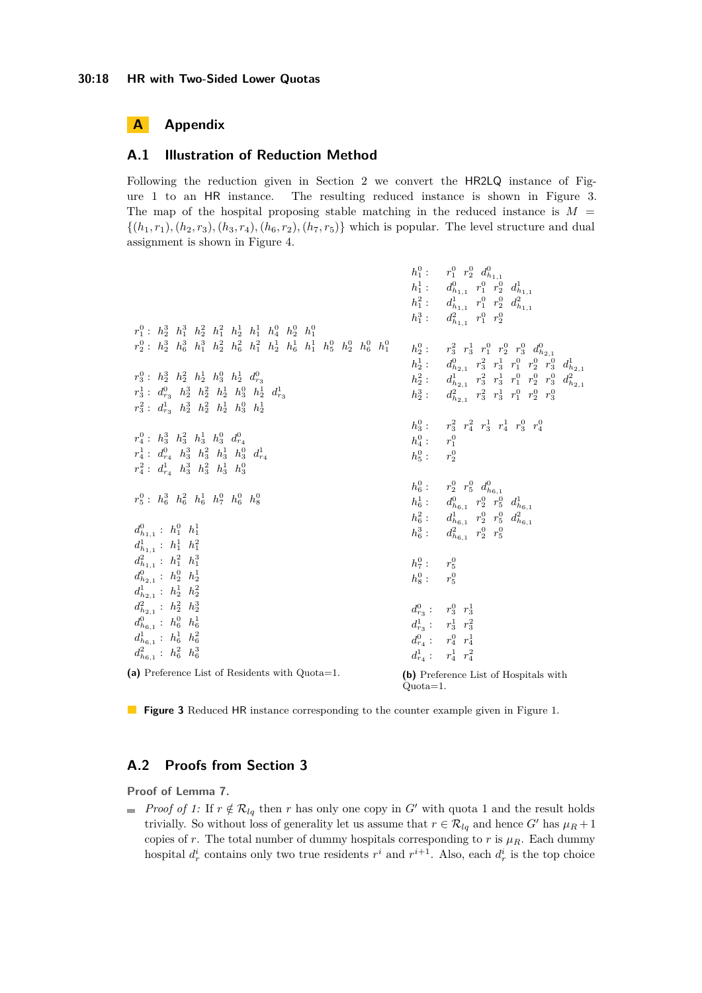## **A Appendix**

#### <span id="page-17-0"></span>**A.1 Illustration of Reduction Method**

Following the reduction given in Section [2](#page-5-0) we convert the HR2LQ instance of Figure [1](#page-4-0) to an HR instance. The resulting reduced instance is shown in Figure [3.](#page-17-2) The map of the hospital proposing stable matching in the reduced instance is  $M =$  $\{(h_1, r_1), (h_2, r_3), (h_3, r_4), (h_6, r_2), (h_7, r_5)\}$  which is popular. The level structure and dual assignment is shown in Figure [4.](#page-18-0)

<span id="page-17-2"></span>

|                                                                                                                   | $h_1^0: r_1^0 r_2^0 d_{h_{1,1}}^0$                                                |
|-------------------------------------------------------------------------------------------------------------------|-----------------------------------------------------------------------------------|
|                                                                                                                   | $h_1^1:$ $d_{h_{1,1}}^0$ $r_1^0$ $r_2^0$ $d_{h_{1,1}}^1$                          |
|                                                                                                                   | $h_1^2: d_{h_{1,1}}^1 r_1^0 r_2^0 d_{h_{1,1}}^2$                                  |
|                                                                                                                   | $h_1^3: d_{h_{1,1}}^2 r_1^0 r_2^0$                                                |
| $r_1^0$ : $h_2^3$ $h_1^3$ $h_2^2$ $h_1^2$ $h_2^1$ $h_1^1$ $h_4^0$ $h_2^0$ $h_1^0$                                 |                                                                                   |
| $r_2^0$ : $h_2^3$ $h_6^3$ $h_1^3$ $h_2^2$ $h_6^2$ $h_1^2$ $h_2^1$ $h_6^1$ $h_1^1$ $h_5^0$ $h_2^0$ $h_6^0$ $h_1^0$ | $h_2^0: r_3^2 r_3^1 r_1^0 r_2^0 r_3^0 d_{h_{2,1}}^0$                              |
|                                                                                                                   | $h_2^1:$ $d_{h_{2,1}}^0$ $r_3^2$ $r_3^1$ $r_1^0$ $r_2^0$ $r_3^0$ $d_{h_{2,1}}^1$  |
| $r_3^0$ : $h_2^3$ $h_2^2$ $h_2^1$ $h_3^0$ $h_2^1$ $d_{r_2}^0$                                                     | $h_2^2$ : $d_{h_{2,1}}^1$ $r_3^2$ $r_3^1$ $r_1^0$ $r_2^0$ $r_3^0$ $d_{h_{2,1}}^2$ |
| $r_3^1$ : $d_{r_2}^0$ $h_2^3$ $h_2^2$ $h_2^1$ $h_3^0$ $h_2^1$ $d_{r_2}^1$                                         | $h_2^3$ : $d_{h_{2,1}}^2$ $r_3^2$ $r_3^1$ $r_1^0$ $r_2^0$ $r_3^0$                 |
| $r_3^2$ : $d_{r_3}^1$ $h_2^3$ $h_2^2$ $h_2^1$ $h_3^0$ $h_2^1$                                                     |                                                                                   |
|                                                                                                                   | $h_3^0: r_3^2 r_4^2 r_3^1 r_4^1 r_3^0 r_4^0$                                      |
| $r_4^0$ : $h_3^3$ $h_3^2$ $h_3^1$ $h_3^0$ $d_{r_4}^0$                                                             | $h_4^0: r_1^0$                                                                    |
| $r_4^1$ : $d_{r_4}^0$ $h_3^3$ $h_3^2$ $h_3^1$ $h_3^0$ $d_{r_4}^1$                                                 | $h_5^0: r_2^0$                                                                    |
| $r_4^2$ : $d_{r_4}^1$ $h_3^3$ $h_3^2$ $h_3^1$ $h_3^0$                                                             |                                                                                   |
|                                                                                                                   | $h_6^0$ : $r_2^0$ $r_5^0$ $d_{h_{6,1}}^0$                                         |
| $r_5^0$ : $h_6^3$ $h_6^2$ $h_6^1$ $h_7^0$ $h_6^0$ $h_8^0$                                                         |                                                                                   |
|                                                                                                                   | $h_6^1:$ $d_{h_{6,1}}^0$ $r_2^0$ $r_5^0$ $d_{h_{6,1}}^1$                          |
| $d_{h_{1}}^{0}$ : $h_{1}^{0}$ $h_{1}^{1}$                                                                         | $h_6^2$ : $d_{h_{6,1}}^1$ $r_2^0$ $r_5^0$ $d_{h_{6,1}}^2$                         |
|                                                                                                                   | $h_6^3$ : $d_{h_{6,1}}^2$ $r_2^0$ $r_5^0$                                         |
| $d_{h_{1,1}}^1 : h_1^1 h_1^2$                                                                                     |                                                                                   |
| $d_{h_{1,1}}^2$ : $h_1^2$ $h_1^3$                                                                                 | $h_7^0: r_5^0$                                                                    |
| $d_{h_{2,1}}^0 : h_2^0 h_2^1$                                                                                     | $h_8^0: r_5^0$                                                                    |
| $d_{h_{2,1}}^1 : h_2^1 h_2^2$                                                                                     |                                                                                   |
| $d_{h_{2,1}}^2$ : $h_2^2$ $h_2^3$                                                                                 | $d_{r_3}^0: r_3^0 r_3^1$                                                          |
| $d_{h_{6,1}}^0$ : $h_6^0$ $h_6^1$                                                                                 | $d_{r_3}^1: r_3^1 r_3^2$                                                          |
| $d_{h_{6,1}}^1$ : $h_6^1$ $h_6^2$                                                                                 | $d_{r_A}^0: r_4^0 r_4^1$                                                          |
| $d_{h_{6,1}}^2$ : $h_6^2$ $h_6^3$                                                                                 | $d_{r_4}^1: r_4^1 r_4^2$                                                          |
| (a) Preference List of Residents with Quota=1.                                                                    | (b) Preference List of Hospitals with                                             |
|                                                                                                                   | $Quota=1$ .                                                                       |

**Figure 3** Reduced HR instance corresponding to the counter example given in Figure [1.](#page-4-0)

## <span id="page-17-1"></span>**A.2 Proofs from Section [3](#page-7-0)**

**Proof of Lemma [7.](#page-7-1)**

*Proof of [1:](#page-8-3)* If  $r \notin \mathcal{R}_{lq}$  then *r* has only one copy in *G'* with quota 1 and the result holds trivially. So without loss of generality let us assume that  $r \in \mathcal{R}_{lq}$  and hence *G*<sup>'</sup> has  $\mu_R + 1$ copies of *r*. The total number of dummy hospitals corresponding to *r* is  $\mu_R$ . Each dummy hospital  $d_r^i$  contains only two true residents  $r^i$  and  $r^{i+1}$ . Also, each  $d_r^i$  is the top choice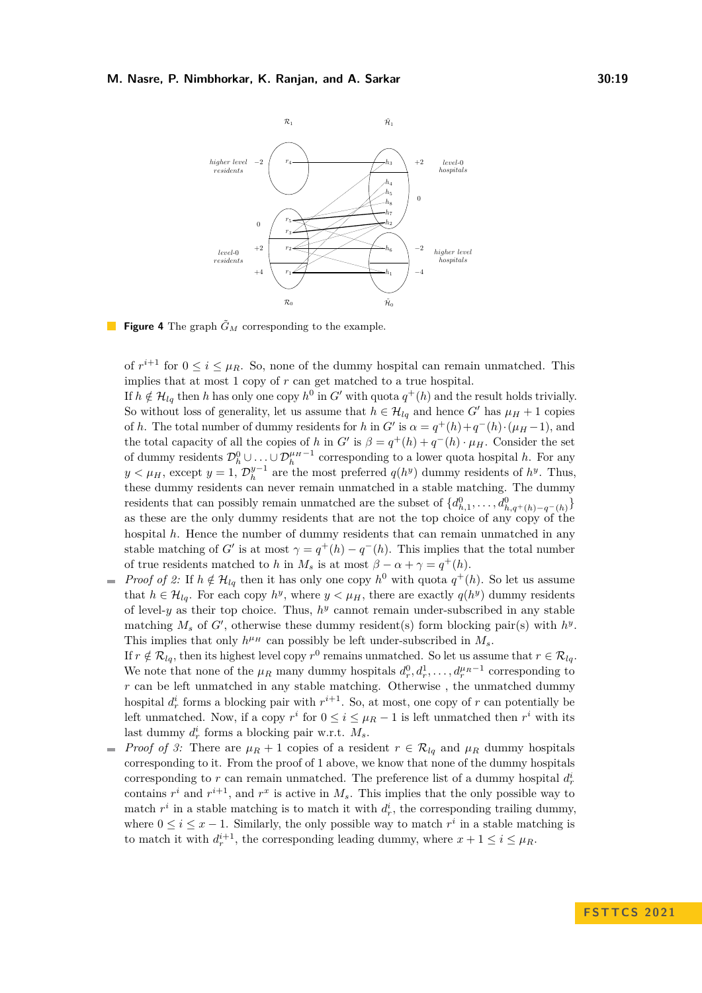<span id="page-18-0"></span>

**Figure 4** The graph  $\tilde{G}_M$  corresponding to the example.

of  $r^{i+1}$  for  $0 \leq i \leq \mu_R$ . So, none of the dummy hospital can remain unmatched. This implies that at most 1 copy of *r* can get matched to a true hospital.

If  $h \notin \mathcal{H}_{lq}$  then *h* has only one copy  $h^0$  in  $G'$  with quota  $q^+(h)$  and the result holds trivially. So without loss of generality, let us assume that  $h \in \mathcal{H}_{lq}$  and hence *G'* has  $\mu_H + 1$  copies of *h*. The total number of dummy residents for *h* in *G*<sup> $\prime$ </sup> is  $\alpha = q^+(h) + q^-(h) \cdot (\mu_H - 1)$ , and the total capacity of all the copies of *h* in  $G'$  is  $\beta = q^+(h) + q^-(h) \cdot \mu_H$ . Consider the set of dummy residents  $\mathcal{D}_h^0 \cup \ldots \cup \mathcal{D}_h^{\mu_H-1}$  corresponding to a lower quota hospital *h*. For any *y*  $\lt \mu$ <sub>*H*</sub>, except *y* = 1,  $\mathcal{D}_h^{y-1}$  are the most preferred *q*(*h*<sup>*y*</sup>) dummy residents of *h*<sup>*y*</sup>. Thus, these dummy residents can never remain unmatched in a stable matching. The dummy residents that can possibly remain unmatched are the subset of  $\{d_{h,1}^0, \ldots, d_{h,q^+(h)-q^-(h)}^0\}$ as these are the only dummy residents that are not the top choice of any copy of the hospital *h*. Hence the number of dummy residents that can remain unmatched in any stable matching of *G*' is at most  $\gamma = q^+(h) - q^-(h)$ . This implies that the total number of true residents matched to *h* in  $M_s$  is at most  $\beta - \alpha + \gamma = q^+(h)$ .

*Proof of [2:](#page-8-4)* If  $h \notin H_{lq}$  then it has only one copy  $h^0$  with quota  $q^+(h)$ . So let us assume that  $h \in \mathcal{H}_{lq}$ . For each copy  $h^y$ , where  $y \leq \mu_H$ , there are exactly  $q(h^y)$  dummy residents of level-*y* as their top choice. Thus,  $h<sup>y</sup>$  cannot remain under-subscribed in any stable matching  $M_s$  of  $G'$ , otherwise these dummy resident(s) form blocking pair(s) with  $h^y$ . This implies that only  $h^{\mu}$ <sup> $H$ </sup> can possibly be left under-subscribed in  $M_s$ .

If  $r \notin \mathcal{R}_{lq}$ , then its highest level copy  $r^0$  remains unmatched. So let us assume that  $r \in \mathcal{R}_{lq}$ . We note that none of the  $\mu_R$  many dummy hospitals  $d_r^0, d_r^1, \ldots, d_r^{\mu_R-1}$  corresponding to *r* can be left unmatched in any stable matching. Otherwise , the unmatched dummy hospital  $d_r^i$  forms a blocking pair with  $r^{i+1}$ . So, at most, one copy of *r* can potentially be left unmatched. Now, if a copy  $r^i$  for  $0 \le i \le \mu_R - 1$  is left unmatched then  $r^i$  with its last dummy  $d_r^i$  forms a blocking pair w.r.t.  $M_s$ .

*Proof of [3:](#page-8-5)* There are  $\mu_R + 1$  copies of a resident  $r \in \mathcal{R}_{lq}$  and  $\mu_R$  dummy hospitals  $\rightarrow$ corresponding to it. From the proof of 1 above, we know that none of the dummy hospitals corresponding to  $r$  can remain unmatched. The preference list of a dummy hospital  $d_r^i$ contains  $r^i$  and  $r^{i+1}$ , and  $r^x$  is active in  $M_s$ . This implies that the only possible way to match  $r^i$  in a stable matching is to match it with  $d_r^i$ , the corresponding trailing dummy, where  $0 \leq i \leq x - 1$ . Similarly, the only possible way to match  $r^i$  in a stable matching is to match it with  $d_r^{i+1}$ , the corresponding leading dummy, where  $x + 1 \le i \le \mu_R$ .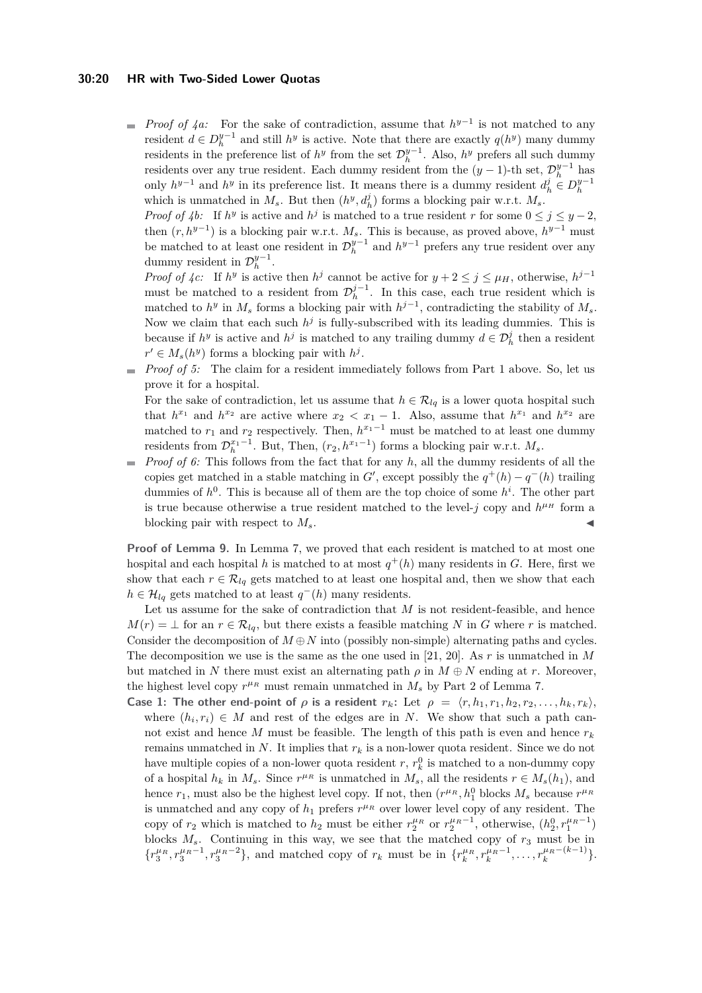#### **30:20 HR with Two-Sided Lower Quotas**

*Proof of [4a:](#page-8-6)* For the sake of contradiction, assume that  $h^{y-1}$  is not matched to any resident  $d \in D_h^{y-1}$  and still  $h^y$  is active. Note that there are exactly  $q(h^y)$  many dummy residents in the preference list of  $h^y$  from the set  $\mathcal{D}_h^{y-1}$ . Also,  $h^y$  prefers all such dummy residents over any true resident. Each dummy resident from the  $(y-1)$ -th set,  $\mathcal{D}_h^{y-1}$  has only  $h^{y-1}$  and  $h^y$  in its preference list. It means there is a dummy resident  $d_h^j \in D_h^{y-1}$ which is unmatched in  $M_s$ . But then  $(h^y, d_h^j)$  forms a blocking pair w.r.t.  $M_s$ .

*Proof of [4b:](#page-8-7)* If  $h^y$  is active and  $h^j$  is matched to a true resident *r* for some  $0 \le j \le y - 2$ , then  $(r, h^{y-1})$  is a blocking pair w.r.t.  $M_s$ . This is because, as proved above,  $h^{y-1}$  must be matched to at least one resident in  $\mathcal{D}_{h}^{y-1}$  and  $h^{y-1}$  prefers any true resident over any dummy resident in  $\mathcal{D}_h^{y-1}$ .

*Proof of*  $\{c: \text{If } h^y \text{ is active then } h^j \text{ cannot be active for } y + 2 \leq j \leq \mu_H, \text{ otherwise, } h^{j-1} \}$ must be matched to a resident from  $\mathcal{D}_{h}^{j-1}$ . In this case, each true resident which is matched to  $h^y$  in  $M_s$  forms a blocking pair with  $h^{j-1}$ , contradicting the stability of  $M_s$ . Now we claim that each such  $h^j$  is fully-subscribed with its leading dummies. This is because if  $h^y$  is active and  $h^j$  is matched to any trailing dummy  $d \in \mathcal{D}_h^j$  then a resident  $r' \in M_s(h^y)$  forms a blocking pair with  $h^j$ .

*Proof of [5:](#page-8-9)* The claim for a resident immediately follows from Part [1](#page-8-3) above. So, let us prove it for a hospital.

For the sake of contradiction, let us assume that  $h \in \mathcal{R}_{lq}$  is a lower quota hospital such that  $h^{x_1}$  and  $h^{x_2}$  are active where  $x_2 < x_1 - 1$ . Also, assume that  $h^{x_1}$  and  $h^{x_2}$  are matched to  $r_1$  and  $r_2$  respectively. Then,  $h^{x_1-1}$  must be matched to at least one dummy residents from  $\mathcal{D}_{h}^{x_1-1}$ . But, Then,  $(r_2, h^{x_1-1})$  forms a blocking pair w.r.t.  $M_s$ .

*Proof of [6:](#page-8-10)* This follows from the fact that for any *h*, all the dummy residents of all the copies get matched in a stable matching in *G*', except possibly the  $q^+(h) - q^-(h)$  trailing dummies of  $h^0$ . This is because all of them are the top choice of some  $h^i$ . The other part is true because otherwise a true resident matched to the level- $j$  copy and  $h^{\mu}$  form a blocking pair with respect to  $M_s$ .

**Proof of Lemma [9.](#page-8-2)** In Lemma [7,](#page-7-1) we proved that each resident is matched to at most one hospital and each hospital *h* is matched to at most  $q^+(h)$  many residents in *G*. Here, first we show that each  $r \in \mathcal{R}_{lq}$  gets matched to at least one hospital and, then we show that each  $h \in \mathcal{H}_{lq}$  gets matched to at least  $q^{-}(h)$  many residents.

Let us assume for the sake of contradiction that *M* is not resident-feasible, and hence  $M(r) = \perp$  for an  $r \in \mathcal{R}_{lq}$ , but there exists a feasible matching *N* in *G* where *r* is matched. Consider the decomposition of  $M \oplus N$  into (possibly non-simple) alternating paths and cycles. The decomposition we use is the same as the one used in [\[21,](#page-16-11) [20\]](#page-16-0). As *r* is unmatched in *M* but matched in *N* there must exist an alternating path  $\rho$  in  $M \oplus N$  ending at *r*. Moreover, the highest level copy  $r^{\mu_R}$  must remain unmatched in  $M_s$  by Part [2](#page-8-4) of Lemma [7.](#page-7-1)

**Case 1: The other end-point of**  $\rho$  is a resident  $r_k$ : Let  $\rho = \langle r, h_1, r_1, h_2, r_2, \ldots, h_k, r_k \rangle$ , where  $(h_i, r_i) \in M$  and rest of the edges are in *N*. We show that such a path cannot exist and hence *M* must be feasible. The length of this path is even and hence  $r_k$ remains unmatched in  $N$ . It implies that  $r_k$  is a non-lower quota resident. Since we do not have multiple copies of a non-lower quota resident  $r, r_k^0$  is matched to a non-dummy copy of a hospital  $h_k$  in  $M_s$ . Since  $r^{\mu_R}$  is unmatched in  $M_s$ , all the residents  $r \in M_s(h_1)$ , and hence  $r_1$ , must also be the highest level copy. If not, then  $(r^{\mu_R}, h_1^0)$  blocks  $M_s$  because  $r^{\mu_R}$ is unmatched and any copy of  $h_1$  prefers  $r^{\mu_R}$  over lower level copy of any resident. The copy of  $r_2$  which is matched to  $h_2$  must be either  $r_2^{\mu_R}$  or  $r_2^{\mu_R-1}$ , otherwise,  $(h_2^0, r_1^{\mu_R-1})$ blocks  $M_s$ . Continuing in this way, we see that the matched copy of  $r_3$  must be in  $\{r_3^{\mu_R}, r_3^{\mu_R-1}, r_3^{\mu_R-2}\}\$ , and matched copy of  $r_k$  must be in  $\{r_k^{\mu_R}, r_k^{\mu_R-1}, \ldots, r_k^{\mu_R-(k-1)}\}\$ .